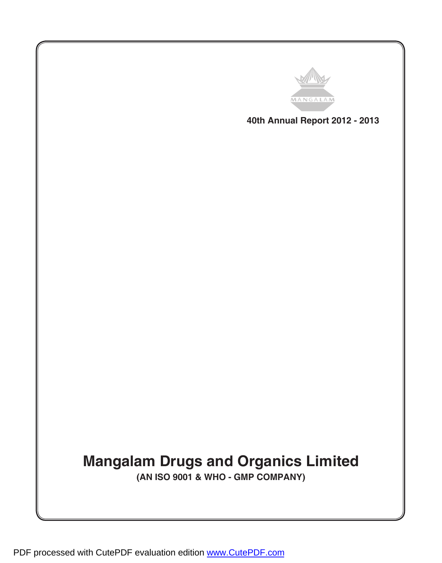

**40th Annual Report 2012 - 2013**

# **Mangalam Drugs and Organics Limited (AN ISO 9001 & WHO - GMP COMPANY)**

PDF processed with CutePDF evaluation edition [www.CutePDF.com](http://www.cutepdf.com)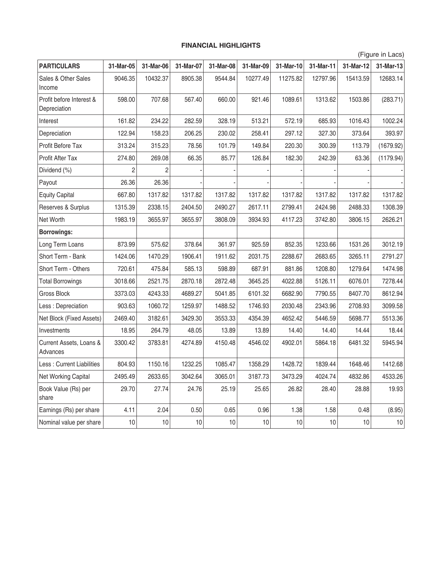### **FINANCIAL HIGHLIGHTS**

| <b>PARTICULARS</b>                       | 31-Mar-05      | 31-Mar-06 | 31-Mar-07 | 31-Mar-08 | 31-Mar-09 | 31-Mar-10 | 31-Mar-11 | 31-Mar-12 | 31-Mar-13 |
|------------------------------------------|----------------|-----------|-----------|-----------|-----------|-----------|-----------|-----------|-----------|
| Sales & Other Sales<br>Income            | 9046.35        | 10432.37  | 8905.38   | 9544.84   | 10277.49  | 11275.82  | 12797.96  | 15413.59  | 12683.14  |
| Profit before Interest &<br>Depreciation | 598.00         | 707.68    | 567.40    | 660.00    | 921.46    | 1089.61   | 1313.62   | 1503.86   | (283.71)  |
| Interest                                 | 161.82         | 234.22    | 282.59    | 328.19    | 513.21    | 572.19    | 685.93    | 1016.43   | 1002.24   |
| Depreciation                             | 122.94         | 158.23    | 206.25    | 230.02    | 258.41    | 297.12    | 327.30    | 373.64    | 393.97    |
| Profit Before Tax                        | 313.24         | 315.23    | 78.56     | 101.79    | 149.84    | 220.30    | 300.39    | 113.79    | (1679.92) |
| Profit After Tax                         | 274.80         | 269.08    | 66.35     | 85.77     | 126.84    | 182.30    | 242.39    | 63.36     | (1179.94) |
| Dividend (%)                             | $\overline{c}$ | 2         |           |           |           |           |           |           |           |
| Payout                                   | 26.36          | 26.36     |           |           |           |           |           |           |           |
| <b>Equity Capital</b>                    | 667.80         | 1317.82   | 1317.82   | 1317.82   | 1317.82   | 1317.82   | 1317.82   | 1317.82   | 1317.82   |
| Reserves & Surplus                       | 1315.39        | 2338.15   | 2404.50   | 2490.27   | 2617.11   | 2799.41   | 2424.98   | 2488.33   | 1308.39   |
| Net Worth                                | 1983.19        | 3655.97   | 3655.97   | 3808.09   | 3934.93   | 4117.23   | 3742.80   | 3806.15   | 2626.21   |
| <b>Borrowings:</b>                       |                |           |           |           |           |           |           |           |           |
| Long Term Loans                          | 873.99         | 575.62    | 378.64    | 361.97    | 925.59    | 852.35    | 1233.66   | 1531.26   | 3012.19   |
| Short Term - Bank                        | 1424.06        | 1470.29   | 1906.41   | 1911.62   | 2031.75   | 2288.67   | 2683.65   | 3265.11   | 2791.27   |
| Short Term - Others                      | 720.61         | 475.84    | 585.13    | 598.89    | 687.91    | 881.86    | 1208.80   | 1279.64   | 1474.98   |
| <b>Total Borrowings</b>                  | 3018.66        | 2521.75   | 2870.18   | 2872.48   | 3645.25   | 4022.88   | 5126.11   | 6076.01   | 7278.44   |
| Gross Block                              | 3373.03        | 4243.33   | 4689.27   | 5041.85   | 6101.32   | 6682.90   | 7790.55   | 8407.70   | 8612.94   |
| Less : Depreciation                      | 903.63         | 1060.72   | 1259.97   | 1488.52   | 1746.93   | 2030.48   | 2343.96   | 2708.93   | 3099.58   |
| Net Block (Fixed Assets)                 | 2469.40        | 3182.61   | 3429.30   | 3553.33   | 4354.39   | 4652.42   | 5446.59   | 5698.77   | 5513.36   |
| Investments                              | 18.95          | 264.79    | 48.05     | 13.89     | 13.89     | 14.40     | 14.40     | 14.44     | 18.44     |
| Current Assets, Loans &<br>Advances      | 3300.42        | 3783.81   | 4274.89   | 4150.48   | 4546.02   | 4902.01   | 5864.18   | 6481.32   | 5945.94   |
| Less: Current Liabilities                | 804.93         | 1150.16   | 1232.25   | 1085.47   | 1358.29   | 1428.72   | 1839.44   | 1648.46   | 1412.68   |
| Net Working Capital                      | 2495.49        | 2633.65   | 3042.64   | 3065.01   | 3187.73   | 3473.29   | 4024.74   | 4832.86   | 4533.26   |
| Book Value (Rs) per<br>share             | 29.70          | 27.74     | 24.76     | 25.19     | 25.65     | 26.82     | 28.40     | 28.88     | 19.93     |
| Earnings (Rs) per share                  | 4.11           | 2.04      | 0.50      | 0.65      | 0.96      | 1.38      | 1.58      | 0.48      | (8.95)    |
| Nominal value per share                  | 10             | 10        | $10$      | 10        | 10        | $10$      | 10        | $10$      | $10$      |

(Figure in Lacs)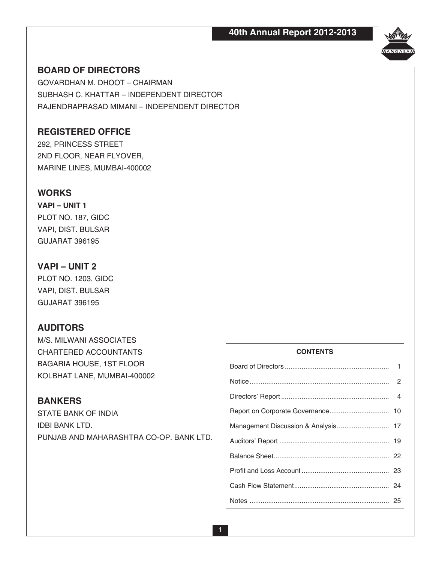

### **BOARD OF DIRECTORS**

GOVARDHAN M. DHOOT – CHAIRMAN SUBHASH C. KHATTAR – INDEPENDENT DIRECTOR RAJENDRAPRASAD MIMANI – INDEPENDENT DIRECTOR

### **REGISTERED OFFICE**

292, PRINCESS STREET 2ND FLOOR, NEAR FLYOVER, MARINE LINES, MUMBAI-400002

### **WORKS**

**VAPI – UNIT 1** PLOT NO. 187, GIDC VAPI, DIST. BULSAR GUJARAT 396195

## **VAPI – UNIT 2**

PLOT NO. 1203, GIDC VAPI, DIST. BULSAR GUJARAT 396195

### **AUDITORS**

M/S. MILWANI ASSOCIATES CHARTERED ACCOUNTANTS BAGARIA HOUSE, 1ST FLOOR KOLBHAT LANE, MUMBAI-400002

### **BANKERS**

STATE BANK OF INDIA IDBI BANK LTD. PUNJAB AND MAHARASHTRA CO-OP. BANK LTD.

### **CONTENTS**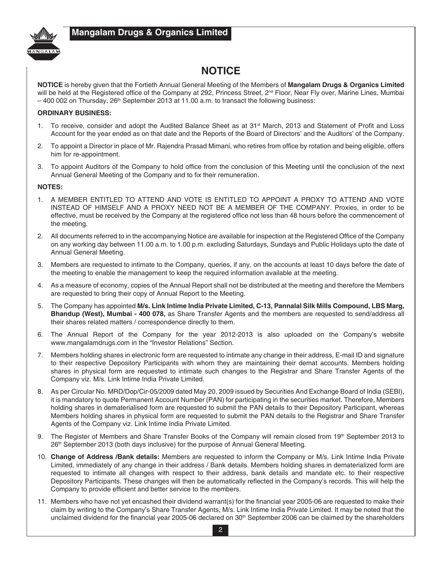

### **NOTICE**

**NOTICE** is hereby given that the Fortieth Annual General Meeting of the Members of **Mangalam Drugs & Organics Limited** will be held at the Registered office of the Company at 292, Princess Street, 2<sup>nd</sup> Floor, Near Fly over, Marine Lines, Mumbai  $-400002$  on Thursday, 26<sup>th</sup> September 2013 at 11.00 a.m. to transact the following business:

#### **ORDINARY BUSINESS:**

- 1. To receive, consider and adopt the Audited Balance Sheet as at 31<sup>st</sup> March, 2013 and Statement of Profit and Loss Account for the year ended as on that date and the Reports of the Board of Directors' and the Auditors' of the Company.
- 2. To appoint a Director in place of Mr. Rajendra Prasad Mimani, who retires from office by rotation and being eligible, offers him for re-appointment.
- 3. To appoint Auditors of the Company to hold office from the conclusion of this Meeting until the conclusion of the next Annual General Meeting of the Company and to fix their remuneration.

#### **NOTES:**

- 1. A MEMBER ENTITLED TO ATTEND AND VOTE IS ENTITLED TO APPOINT A PROXY TO ATTEND AND VOTE INSTEAD OF HIMSELF AND A PROXY NEED NOT BE A MEMBER OF THE COMPANY. Proxies, in order to be effective, must be received by the Company at the registered office not less than 48 hours before the commencement of the meeting.
- 2. All documents referred to in the accompanying Notice are available for inspection at the Registered Office of the Company on any working day between 11.00 a.m. to 1.00 p.m. excluding Saturdays, Sundays and Public Holidays upto the date of Annual General Meeting.
- 3. Members are requested to intimate to the Company, queries, if any, on the accounts at least 10 days before the date of the meeting to enable the management to keep the required information available at the meeting.
- 4. As a measure of economy, copies of the Annual Report shall not be distributed at the meeting and therefore the Members are requested to bring their copy of Annual Report to the Meeting.
- 5. The Company has appointed **M/s. Link Intime India Private Limited, C-13, Pannalal Silk Mills Compound, LBS Marg, Bhandup (West), Mumbai - 400 078,** as Share Transfer Agents and the members are requested to send/address all their shares related matters / correspondence directly to them.
- 6. The Annual Report of the Company for the year 2012-2013 is also uploaded on the Company's website www.mangalamdrugs.com in the "Investor Relations" Section.
- 7. Members holding shares in electronic form are requested to intimate any change in their address, E-mail ID and signature to their respective Depository Participants with whom they are maintaining their demat accounts. Members holding shares in physical form are requested to intimate such changes to the Registrar and Share Transfer Agents of the Company viz. M/s. Link Intime India Private Limited.
- 8. As per Circular No. MRD/Dop/Cir-05/2009 dated May 20, 2009 issued by Securities And Exchange Board of India (SEBI), it is mandatory to quote Permanent Account Number (PAN) for participating in the securities market. Therefore, Members holding shares in dematerialised form are requested to submit the PAN details to their Depository Participant, whereas Members holding shares in physical form are requested to submit the PAN details to the Registrar and Share Transfer Agents of the Company viz. Link Intime India Private Limited.
- 9. The Register of Members and Share Transfer Books of the Company will remain closed from 19<sup>th</sup> September 2013 to 26<sup>th</sup> September 2013 (both days inclusive) for the purpose of Annual General Meeting.
- 10. **Change of Address /Bank details:** Members are requested to inform the Company or M/s. Link Intime India Private Limited, immediately of any change in their address / Bank details. Members holding shares in dematerialized form are requested to intimate all changes with respect to their address, bank details and mandate etc. to their respective Depository Participants. These changes will then be automatically reflected in the Company's records. This will help the Company to provide efficient and better service to the members.
- 11. Members who have not yet encashed their dividend warrant(s) for the financial year 2005-06 are requested to make their claim by writing to the Company's Share Transfer Agents, M/s. Link Intime India Private Limited. It may be noted that the unclaimed dividend for the financial year 2005-06 declared on 30<sup>th</sup> September 2006 can be claimed by the shareholders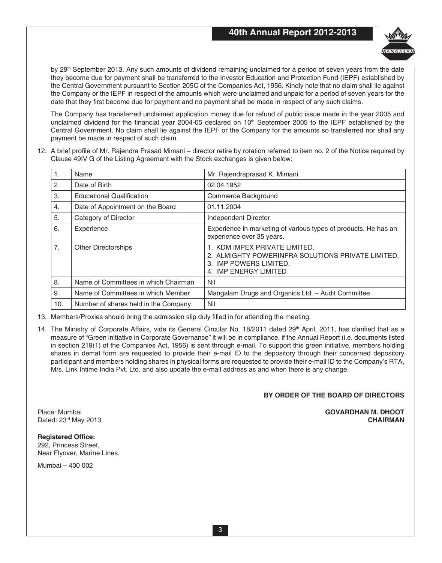

by 29<sup>th</sup> September 2013. Any such amounts of dividend remaining unclaimed for a period of seven years from the date they become due for payment shall be transferred to the Investor Education and Protection Fund (IEPF) established by the Central Government pursuant to Section 205C of the Companies Act, 1956. Kindly note that no claim shall lie against the Company or the IEPF in respect of the amounts which were unclaimed and unpaid for a period of seven years for the date that they first become due for payment and no payment shall be made in respect of any such claims.

The Company has transferred unclaimed application money due for refund of public issue made in the year 2005 and unclaimed dividend for the financial year 2004-05 declared on 10<sup>th</sup> September 2005 to the IEPF established by the Central Government. No claim shall lie against the IEPF or the Company for the amounts so transferred nor shall any payment be made in respect of such claim.

12. A brief profile of Mr. Rajendra Prasad Mimani – director retire by rotation referred to item no. 2 of the Notice required by Clause 49IV G of the Listing Agreement with the Stock exchanges is given below:

| 1.               | Name                                  | Mr. Rajendraprasad K. Mimani                                                                                                          |
|------------------|---------------------------------------|---------------------------------------------------------------------------------------------------------------------------------------|
| 2.               | Date of Birth                         | 02.04.1952                                                                                                                            |
| 3.               | <b>Educational Qualification</b>      | Commerce Background                                                                                                                   |
| 4.               | Date of Appointment on the Board      | 01.11.2004                                                                                                                            |
| 5.               | Category of Director                  | Independent Director                                                                                                                  |
| 6.               | Experience                            | Experience in marketing of various types of products. He has an<br>experience over 35 years.                                          |
| $\overline{7}$ . | <b>Other Directorships</b>            | 1. KDM IMPEX PRIVATE LIMITED.<br>2. ALMIGHTY POWERINFRA SOLUTIONS PRIVATE LIMITED.<br>3. IMP POWERS LIMITED.<br>4. IMP ENERGY LIMITED |
| 8.               | Name of Committees in which Chairman  | Nil                                                                                                                                   |
| 9.               | Name of Committees in which Member    | Mangalam Drugs and Organics Ltd. - Audit Committee                                                                                    |
| 10.              | Number of shares held in the Company. | Nil                                                                                                                                   |

13. Members/Proxies should bring the admission slip duly filled in for attending the meeting.

14. The Ministry of Corporate Affairs, vide its General Circular No. 18/2011 dated 29<sup>th</sup> April, 2011, has clarified that as a measure of "Green initiative in Corporate Governance" it will be in compliance, if the Annual Report (i.e. documents listed in section 219(1) of the Companies Act, 1956) is sent through e-mail. To support this green initiative, members holding shares in demat form are requested to provide their e-mail ID to the depository through their concerned depository participant and members holding shares in physical forms are requested to provide their e-mail ID to the Company's RTA, M/s. Link Intime India Pvt. Ltd. and also update the e-mail address as and when there is any change.

**BY ORDER OF THE BOARD OF DIRECTORS**

Place: Mumbai **GOVARDHAN M. DHOOT** Dated: 23rd May 2013 **CHAIRMAN**

**Registered Office:**

292, Princess Street, Near Flyover, Marine Lines,

Mumbai – 400 002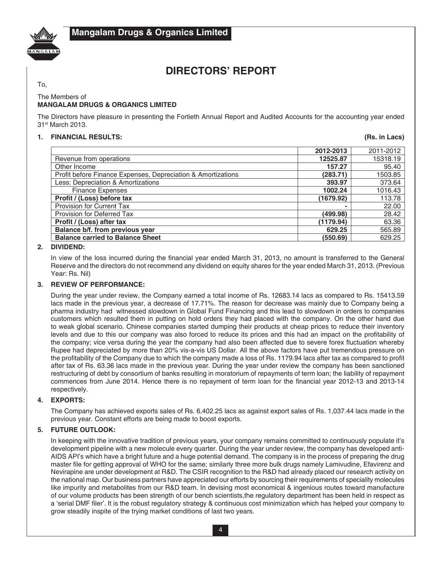

# **DIRECTORS' REPORT**

#### To,

#### The Members of **MANGALAM DRUGS & ORGANICS LIMITED**

The Directors have pleasure in presenting the Fortieth Annual Report and Audited Accounts for the accounting year ended 31st March 2013.

#### **1. FINANCIAL RESULTS: (Rs. in Lacs)**

|                                                              | 2012-2013 | 2011-2012 |
|--------------------------------------------------------------|-----------|-----------|
| Revenue from operations                                      | 12525.87  | 15318.19  |
| Other Income                                                 | 157.27    | 95.40     |
| Profit before Finance Expenses, Depreciation & Amortizations | (283.71)  | 1503.85   |
| Less: Depreciation & Amortizations                           | 393.97    | 373.64    |
| <b>Finance Expenses</b>                                      | 1002.24   | 1016.43   |
| Profit / (Loss) before tax                                   | (1679.92) | 113.78    |
| <b>Provision for Current Tax</b>                             |           | 22.00     |
| Provision for Deferred Tax                                   | (499.98)  | 28.42     |
| Profit / (Loss) after tax                                    | (1179.94) | 63.36     |
| Balance b/f. from previous year                              | 629.25    | 565.89    |
| <b>Balance carried to Balance Sheet</b>                      | (550.69)  | 629.25    |

#### **2. DIVIDEND:**

In view of the loss incurred during the financial year ended March 31, 2013, no amount is transferred to the General Reserve and the directors do not recommend any dividend on equity shares for the year ended March 31, 2013. (Previous Year: Rs. Nil)

#### **3. REVIEW OF PERFORMANCE:**

During the year under review, the Company earned a total income of Rs. 12683.14 lacs as compared to Rs. 15413.59 lacs made in the previous year, a decrease of 17.71%. The reason for decrease was mainly due to Company being a pharma industry had witnessed slowdown in Global Fund Financing and this lead to slowdown in orders to companies customers which resulted them in putting on hold orders they had placed with the company. On the other hand due to weak global scenario. Chinese companies started dumping their products at cheap prices to reduce their inventory levels and due to this our company was also forced to reduce its prices and this had an impact on the profitability of the company; vice versa during the year the company had also been affected due to severe forex fluctuation whereby Rupee had depreciated by more than 20% vis-a-vis US Dollar. All the above factors have put tremendous pressure on the profitability of the Company due to which the company made a loss of Rs. 1179.94 lacs after tax as compared to profit after tax of Rs. 63.36 lacs made in the previous year. During the year under review the company has been sanctioned restructuring of debt by consortium of banks resulting in moratorium of repayments of term loan; the liability of repayment commences from June 2014. Hence there is no repayment of term loan for the financial year 2012-13 and 2013-14 respectively.

#### **4. EXPORTS:**

The Company has achieved exports sales of Rs. 6,402.25 lacs as against export sales of Rs. 1,037.44 lacs made in the previous year. Constant efforts are being made to boost exports.

#### **5. FUTURE OUTLOOK:**

In keeping with the innovative tradition of previous years, your company remains committed to continuously populate it's development pipeline with a new molecule every quarter. During the year under review, the company has developed anti-AIDS API's which have a bright future and a huge potential demand. The company is in the process of preparing the drug master file for getting approval of WHO for the same; similarly three more bulk drugs namely Lamivudine, Efavirenz and Nevirapine are under development at R&D. The CSIR recognition to the R&D had already placed our research activity on the national map. Our business partners have appreciated our efforts by sourcing their requirements of speciality molecules like impurity and metabolites from our R&D team. In devising most economical & ingenious routes toward manufacture of our volume products has been strength of our bench scientists,the regulatory department has been held in respect as a 'serial DMF filer'. It is the robust regulatory strategy & continuous cost minimization which has helped your company to grow steadily inspite of the trying market conditions of last two years.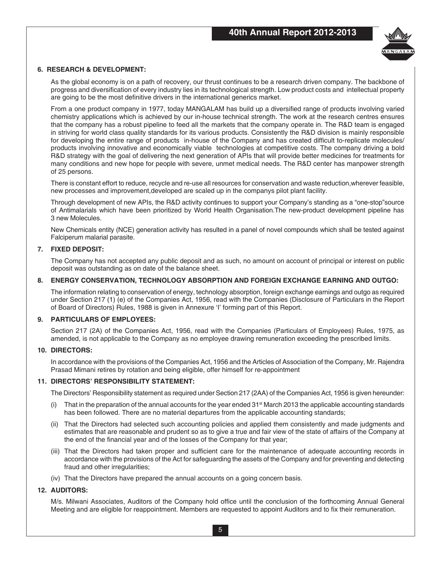

#### **6. RESEARCH & DEVELOPMENT:**

As the global economy is on a path of recovery, our thrust continues to be a research driven company. The backbone of progress and diversification of every industry lies in its technological strength. Low product costs and intellectual property are going to be the most definitive drivers in the international generics market.

From a one product company in 1977, today MANGALAM has build up a diversified range of products involving varied chemistry applications which is achieved by our in-house technical strength. The work at the research centres ensures that the company has a robust pipeline to feed all the markets that the company operate in. The R&D team is engaged in striving for world class quality standards for its various products. Consistently the R&D division is mainly responsible for developing the entire range of products in-house of the Company and has created difficult to-replicate molecules/ products involving innovative and economically viable technologies at competitive costs. The company driving a bold R&D strategy with the goal of delivering the next generation of APIs that will provide better medicines for treatments for many conditions and new hope for people with severe, unmet medical needs. The R&D center has manpower strength of 25 persons.

There is constant effort to reduce, recycle and re-use all resources for conservation and waste reduction,wherever feasible, new processes and improvement,developed are scaled up in the companys pilot plant facility.

Through development of new APIs, the R&D activity continues to support your Company's standing as a "one-stop"source of Antimalarials which have been prioritized by World Health Organisation.The new-product development pipeline has 3 new Molecules.

New Chemicals entity (NCE) generation activity has resulted in a panel of novel compounds which shall be tested against Falciperum malarial parasite.

#### **7. FIXED DEPOSIT:**

The Company has not accepted any public deposit and as such, no amount on account of principal or interest on public deposit was outstanding as on date of the balance sheet.

#### **8. ENERGY CONSERVATION, TECHNOLOGY ABSORPTION AND FOREIGN EXCHANGE EARNING AND OUTGO:**

The information relating to conservation of energy, technology absorption, foreign exchange earnings and outgo as required under Section 217 (1) (e) of the Companies Act, 1956, read with the Companies (Disclosure of Particulars in the Report of Board of Directors) Rules, 1988 is given in Annexure 'I' forming part of this Report.

#### **9. PARTICULARS OF EMPLOYEES:**

Section 217 (2A) of the Companies Act, 1956, read with the Companies (Particulars of Employees) Rules, 1975, as amended, is not applicable to the Company as no employee drawing remuneration exceeding the prescribed limits.

#### **10. DIRECTORS:**

In accordance with the provisions of the Companies Act, 1956 and the Articles of Association of the Company, Mr. Rajendra Prasad Mimani retires by rotation and being eligible, offer himself for re-appointment

#### **11. DIRECTORS' RESPONSIBILITY STATEMENT:**

The Directors' Responsibility statement as required under Section 217 (2AA) of the Companies Act, 1956 is given hereunder:

- (i) That in the preparation of the annual accounts for the year ended  $31<sup>st</sup>$  March 2013 the applicable accounting standards has been followed. There are no material departures from the applicable accounting standards;
- (ii) That the Directors had selected such accounting policies and applied them consistently and made judgments and estimates that are reasonable and prudent so as to give a true and fair view of the state of affairs of the Company at the end of the financial year and of the losses of the Company for that year;
- (iii) That the Directors had taken proper and sufficient care for the maintenance of adequate accounting records in accordance with the provisions of the Act for safeguarding the assets of the Company and for preventing and detecting fraud and other irregularities;
- (iv) That the Directors have prepared the annual accounts on a going concern basis.

#### **12. AUDITORS:**

M/s. Milwani Associates, Auditors of the Company hold office until the conclusion of the forthcoming Annual General Meeting and are eligible for reappointment. Members are requested to appoint Auditors and to fix their remuneration.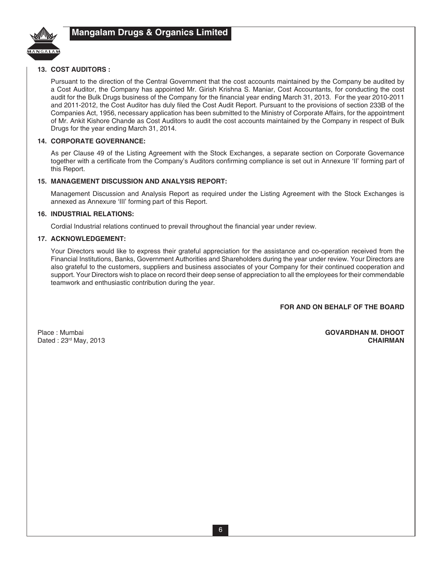

#### **13. COST AUDITORS :**

Pursuant to the direction of the Central Government that the cost accounts maintained by the Company be audited by a Cost Auditor, the Company has appointed Mr. Girish Krishna S. Maniar, Cost Accountants, for conducting the cost audit for the Bulk Drugs business of the Company for the financial year ending March 31, 2013. For the year 2010-2011 and 2011-2012, the Cost Auditor has duly filed the Cost Audit Report. Pursuant to the provisions of section 233B of the Companies Act, 1956, necessary application has been submitted to the Ministry of Corporate Affairs, for the appointment of Mr. Ankit Kishore Chande as Cost Auditors to audit the cost accounts maintained by the Company in respect of Bulk Drugs for the year ending March 31, 2014.

#### **14. CORPORATE GOVERNANCE:**

As per Clause 49 of the Listing Agreement with the Stock Exchanges, a separate section on Corporate Governance together with a certificate from the Company's Auditors confirming compliance is set out in Annexure 'II' forming part of this Report.

#### **15. MANAGEMENT DISCUSSION AND ANALYSIS REPORT:**

Management Discussion and Analysis Report as required under the Listing Agreement with the Stock Exchanges is annexed as Annexure 'III' forming part of this Report.

#### **16. INDUSTRIAL RELATIONS:**

Cordial Industrial relations continued to prevail throughout the financial year under review.

#### **17. ACKNOWLEDGEMENT:**

Your Directors would like to express their grateful appreciation for the assistance and co-operation received from the Financial Institutions, Banks, Government Authorities and Shareholders during the year under review. Your Directors are also grateful to the customers, suppliers and business associates of your Company for their continued cooperation and support. Your Directors wish to place on record their deep sense of appreciation to all the employees for their commendable teamwork and enthusiastic contribution during the year.

**FOR AND ON BEHALF OF THE BOARD**

Dated: 23<sup>rd</sup> May, 2013

Place : Mumbai **GOVARDHAN M. DHOOT**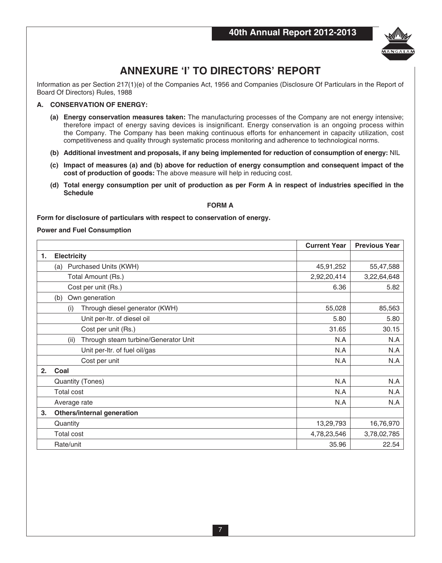

# **ANNEXURE 'I' TO DIRECTORS' REPORT**

Information as per Section 217(1)(e) of the Companies Act, 1956 and Companies (Disclosure Of Particulars in the Report of Board Of Directors) Rules, 1988

#### **A. CONSERVATION OF ENERGY:**

- **(a) Energy conservation measures taken:** The manufacturing processes of the Company are not energy intensive; therefore impact of energy saving devices is insignificant. Energy conservation is an ongoing process within the Company. The Company has been making continuous efforts for enhancement in capacity utilization, cost competitiveness and quality through systematic process monitoring and adherence to technological norms.
- **(b) Additional investment and proposals, if any being implemented for reduction of consumption of energy:** NIL
- **(c) Impact of measures (a) and (b) above for reduction of energy consumption and consequent impact of the cost of production of goods:** The above measure will help in reducing cost.
- **(d) Total energy consumption per unit of production as per Form A in respect of industries specified in the Schedule**

#### **FORM A**

**Form for disclosure of particulars with respect to conservation of energy.**

**Power and Fuel Consumption**

|    |                                              | <b>Current Year</b> | <b>Previous Year</b> |
|----|----------------------------------------------|---------------------|----------------------|
| 1. | <b>Electricity</b>                           |                     |                      |
|    | (a) Purchased Units (KWH)                    | 45,91,252           | 55,47,588            |
|    | Total Amount (Rs.)                           | 2,92,20,414         | 3,22,64,648          |
|    | Cost per unit (Rs.)                          | 6.36                | 5.82                 |
|    | Own generation<br>(b)                        |                     |                      |
|    | Through diesel generator (KWH)<br>(i)        | 55,028              | 85,563               |
|    | Unit per-Itr. of diesel oil                  | 5.80                | 5.80                 |
|    | Cost per unit (Rs.)                          | 31.65               | 30.15                |
|    | Through steam turbine/Generator Unit<br>(ii) | N.A                 | N.A                  |
|    | Unit per-ltr. of fuel oil/gas                | N.A                 | N.A                  |
|    | Cost per unit                                | N.A                 | N.A                  |
| 2. | Coal                                         |                     |                      |
|    | Quantity (Tones)                             | N.A                 | N.A                  |
|    | Total cost                                   | N.A                 | N.A                  |
|    | Average rate                                 | N.A                 | N.A                  |
| 3. | <b>Others/internal generation</b>            |                     |                      |
|    | Quantity                                     | 13,29,793           | 16,76,970            |
|    | Total cost                                   | 4,78,23,546         | 3,78,02,785          |
|    | Rate/unit                                    | 35.96               | 22.54                |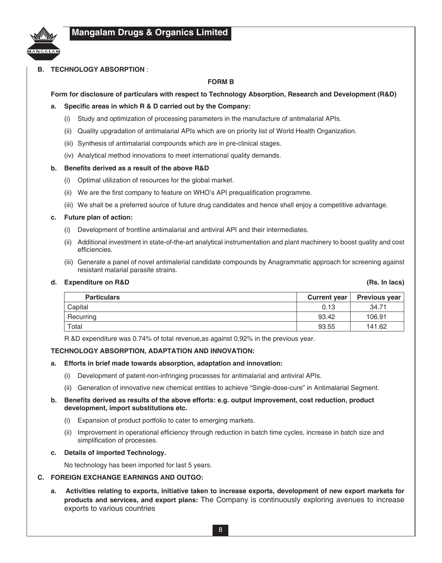

#### **B. TECHNOLOGY ABSORPTION** :

#### **FORM B**

#### **Form for disclosure of particulars with respect to Technology Absorption, Research and Development (R&D)**

#### **a. Specific areas in which R & D carried out by the Company:**

- (i) Study and optimization of processing parameters in the manufacture of antimalarial APIs.
- (ii) Quality upgradation of antimalarial APIs which are on priority list of World Health Organization.
- (iii) Synthesis of antimalarial compounds which are in pre-clinical stages.
- (iv) Analytical method innovations to meet international quality demands.

#### **b. Benefits derived as a result of the above R&D**

- (i) Optimal utilization of resources for the global market.
- (ii) We are the first company to feature on WHO's API prequalification programme.
- (iii) We shall be a preferred source of future drug candidates and hence shall enjoy a competitive advantage.

#### **c. Future plan of action:**

- (i) Development of frontline antimalarial and antiviral API and their intermediates.
- (ii) Additional investment in state-of-the-art analytical instrumentation and plant machinery to boost quality and cost efficiencies.
- (iii) Generate a panel of novel antimalerial candidate compounds by Anagrammatic approach for screening against resistant malarial parasite strains.

#### **d. Expenditure on R&D (Rs. In lacs)**

| <b>Particulars</b> | <b>Current year</b> | <b>Previous year</b> |
|--------------------|---------------------|----------------------|
| Capital            | 0.13                | 34.71                |
| Recurring          | 93.42               | 106.91               |
| Total              | 93.55               | 141.62               |

R &D expenditure was 0.74% of total revenue,as against 0.92% in the previous year.

#### **TECHNOLOGY ABSORPTION, ADAPTATION AND INNOVATION:**

#### **a. Efforts in brief made towards absorption, adaptation and innovation:**

- (i) Development of patent-non-infringing processes for antimalarial and antiviral APIs.
- (ii) Generation of innovative new chemical entities to achieve "Single-dose-cure" in Antimalarial Segment.
- **b. Benefits derived as results of the above efforts: e.g. output improvement, cost reduction, product development, import substitutions etc.**
	- (i) Expansion of product portfolio to cater to emerging markets.
	- (ii) Improvement in operational efficiency through reduction in batch time cycles, increase in batch size and simplification of processes.

#### **c. Details of imported Technology.**

No technology has been imported for last 5 years.

#### **C. FOREIGN EXCHANGE EARNINGS AND OUTGO:**

**a. Activities relating to exports, initiative taken to increase exports, development of new export markets for products and services, and export plans:** The Company is continuously exploring avenues to increase exports to various countries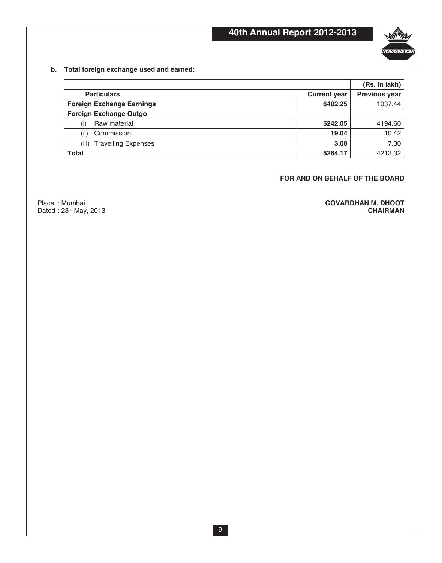

#### **b. Total foreign exchange used and earned:**

|                                     |                     | (Rs. in lakh)        |
|-------------------------------------|---------------------|----------------------|
| <b>Particulars</b>                  | <b>Current year</b> | <b>Previous year</b> |
| <b>Foreign Exchange Earnings</b>    | 6402.25             | 1037.44              |
| <b>Foreign Exchange Outgo</b>       |                     |                      |
| Raw material<br>(i)                 | 5242.05             | 4194.60              |
| Commission<br>(ii)                  | 19.04               | 10.42                |
| <b>Travelling Expenses</b><br>(iii) | 3.08                | 7.30                 |
| <b>Total</b>                        | 5264.17             | 4212.32              |

**FOR AND ON BEHALF OF THE BOARD**

Dated : 23<sup>rd</sup> May, 2013

Place : Mumbai **Place : Mumbai 1999**<br>Dated : 23<sup>rd</sup> May, 2013 **CHAIRMAN**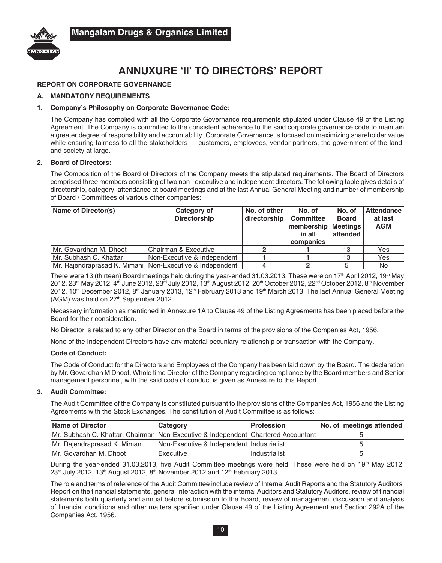

# **ANNUXURE 'II' TO DIRECTORS' REPORT**

#### **REPORT ON CORPORATE GOVERNANCE**

#### **A. MANDATORY REQUIREMENTS**

#### **1. Company's Philosophy on Corporate Governance Code:**

The Company has complied with all the Corporate Governance requirements stipulated under Clause 49 of the Listing Agreement. The Company is committed to the consistent adherence to the said corporate governance code to maintain a greater degree of responsibility and accountability. Corporate Governance is focused on maximizing shareholder value while ensuring fairness to all the stakeholders — customers, employees, vendor-partners, the government of the land, and society at large.

#### **2. Board of Directors:**

The Composition of the Board of Directors of the Company meets the stipulated requirements. The Board of Directors comprised three members consisting of two non - executive and independent directors. The following table gives details of directorship, category, attendance at board meetings and at the last Annual General Meeting and number of membership of Board / Committees of various other companies:

| Name of Director(s)                                        | Category of<br><b>Directorship</b> | No. of other<br>directorship | No. of<br><b>Committee</b><br>membership   Meetings<br>in all<br>companies | No. of<br><b>Board</b><br>attended | <b>Attendance</b><br>at last<br><b>AGM</b> |
|------------------------------------------------------------|------------------------------------|------------------------------|----------------------------------------------------------------------------|------------------------------------|--------------------------------------------|
| Mr. Govardhan M. Dhoot                                     | Chairman & Executive               |                              |                                                                            | 13                                 | Yes                                        |
| Mr. Subhash C. Khattar                                     | Non-Executive & Independent        |                              |                                                                            | 13                                 | Yes                                        |
| Mr. Rajendraprasad K. Mimani   Non-Executive & Independent |                                    |                              |                                                                            | ۰.                                 | No                                         |

There were 13 (thirteen) Board meetings held during the year-ended 31.03.2013. These were on 17<sup>th</sup> April 2012, 19<sup>th</sup> May 2012, 23<sup>rd</sup> May 2012, 4<sup>th</sup> June 2012, 23<sup>rd</sup> July 2012, 13<sup>th</sup> August 2012, 20<sup>th</sup> October 2012, 22<sup>nd</sup> October 2012, 8<sup>th</sup> November 2012, 10<sup>th</sup> December 2012, 8<sup>th</sup> January 2013, 12<sup>th</sup> February 2013 and 19<sup>th</sup> March 2013. The last Annual General Meeting (AGM) was held on 27<sup>th</sup> September 2012.

Necessary information as mentioned in Annexure 1A to Clause 49 of the Listing Agreements has been placed before the Board for their consideration.

No Director is related to any other Director on the Board in terms of the provisions of the Companies Act, 1956.

None of the Independent Directors have any material pecuniary relationship or transaction with the Company.

#### **Code of Conduct:**

The Code of Conduct for the Directors and Employees of the Company has been laid down by the Board. The declaration by Mr. Govardhan M Dhoot, Whole time Director of the Company regarding compliance by the Board members and Senior management personnel, with the said code of conduct is given as Annexure to this Report.

#### **3. Audit Committee:**

The Audit Committee of the Company is constituted pursuant to the provisions of the Companies Act, 1956 and the Listing Agreements with the Stock Exchanges. The constitution of Audit Committee is as follows:

| Name of Director                                                                  | <b>Category</b>                                      | Profession    | No. of meetings attended |
|-----------------------------------------------------------------------------------|------------------------------------------------------|---------------|--------------------------|
| Mr. Subhash C. Khattar, Chairman Non-Executive & Independent Chartered Accountant |                                                      |               |                          |
| IMr. Raiendraprasad K. Mimani                                                     | <b>Non-Executive &amp; Independent Industrialist</b> |               |                          |
| IMr. Govardhan M. Dhoot                                                           | 'Executive                                           | Industrialist |                          |

During the year-ended 31.03.2013, five Audit Committee meetings were held. These were held on 19<sup>th</sup> May 2012, 23rd July 2012, 13th August 2012, 8th November 2012 and 12th February 2013.

The role and terms of reference of the Audit Committee include review of Internal Audit Reports and the Statutory Auditors' Report on the financial statements, general interaction with the internal Auditors and Statutory Auditors, review of financial statements both quarterly and annual before submission to the Board, review of management discussion and analysis of financial conditions and other matters specified under Clause 49 of the Listing Agreement and Section 292A of the Companies Act, 1956.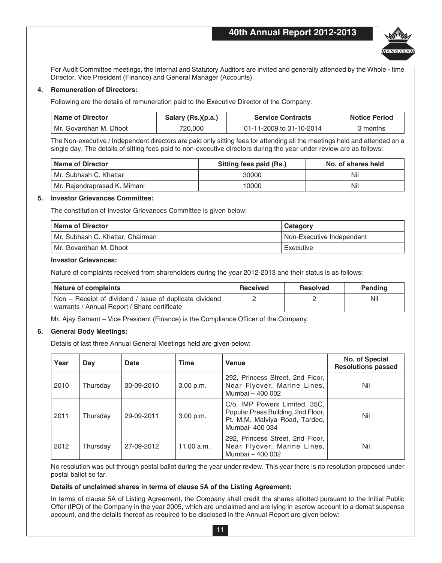

For Audit Committee meetings, the Internal and Statutory Auditors are invited and generally attended by the Whole - time Director, Vice President (Finance) and General Manager (Accounts).

#### **4. Remuneration of Directors:**

Following are the details of remuneration paid to the Executive Director of the Company:

| <b>Name of Director</b>  | Salary (Rs.)(p.a.) | <b>Service Contracts</b> | <b>Notice Period</b> |
|--------------------------|--------------------|--------------------------|----------------------|
| l Mr. Govardhan M. Dhoot | 720.000            | 01-11-2009 to 31-10-2014 | 3 months             |

The Non-executive / Independent directors are paid only sitting fees for attending all the meetings held and attended on a single day. The details of sitting fees paid to non-executive directors during the year under review are as follows:

| Name of Director             | Sitting fees paid (Rs.) | No. of shares held |  |
|------------------------------|-------------------------|--------------------|--|
| Mr. Subhash C. Khattar       | 30000                   | Nil                |  |
| Mr. Rajendraprasad K. Mimani | 10000                   | Nil                |  |

#### **5. Investor Grievances Committee:**

The constitution of Investor Grievances Committee is given below:

| Name of Director                 | Category                  |  |
|----------------------------------|---------------------------|--|
| Mr. Subhash C. Khattar, Chairman | Non-Executive Independent |  |
| Mr. Govardhan M. Dhoot           | Executive                 |  |

#### **Investor Grievances:**

Nature of complaints received from shareholders during the year 2012-2013 and their status is as follows:

| Nature of complaints                                    | <b>Received</b> | <b>Resolved</b> | Pending |
|---------------------------------------------------------|-----------------|-----------------|---------|
| Non – Receipt of dividend / issue of duplicate dividend |                 |                 | Nil     |
| warrants / Annual Report / Share certificate            |                 |                 |         |

Mr. Ajay Samant – Vice President (Finance) is the Compliance Officer of the Company.

#### **6. General Body Meetings:**

Details of last three Annual General Meetings held are given below:

| Year | Day      | Date       | <b>Time</b> | <b>Venue</b>                                                                                                             | No. of Special<br><b>Resolutions passed</b> |
|------|----------|------------|-------------|--------------------------------------------------------------------------------------------------------------------------|---------------------------------------------|
| 2010 | Thursday | 30-09-2010 | 3.00 p.m.   | 292, Princess Street, 2nd Floor,<br>Near Flyover, Marine Lines,<br>Mumbai - 400 002                                      | Nil                                         |
| 2011 | Thursday | 29-09-2011 | 3.00 p.m.   | C/o. IMP Powers Limited, 35C,<br>Popular Press Building, 2nd Floor,<br>Pt. M.M. Malviya Road, Tardeo,<br>Mumbai- 400 034 | Nil                                         |
| 2012 | Thursdav | 27-09-2012 | 11.00 a.m.  | 292, Princess Street, 2nd Floor,<br>Near Flyover, Marine Lines,<br>Mumbai - 400 002                                      | Nil                                         |

No resolution was put through postal ballot during the year under review. This year there is no resolution proposed under postal ballot so far.

#### **Details of unclaimed shares in terms of clause 5A of the Listing Agreement:**

In terms of clause 5A of Listing Agreement, the Company shall credit the shares allotted pursuant to the Initial Public Offer (IPO) of the Company in the year 2005, which are unclaimed and are lying in escrow account to a demat suspense account, and the details thereof as required to be disclosed in the Annual Report are given below: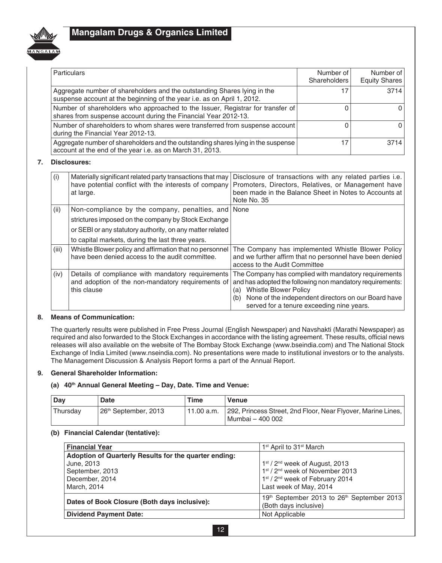

| <b>Particulars</b>                                                                                                                                  | Number of<br><b>Shareholders</b> | Number of<br><b>Equity Shares</b> |
|-----------------------------------------------------------------------------------------------------------------------------------------------------|----------------------------------|-----------------------------------|
| Aggregate number of shareholders and the outstanding Shares lying in the<br>suspense account at the beginning of the year i.e. as on April 1, 2012. | 17                               | 3714                              |
| Number of shareholders who approached to the Issuer, Registrar for transfer of<br>shares from suspense account during the Financial Year 2012-13.   |                                  |                                   |
| Number of shareholders to whom shares were transferred from suspense account<br>during the Financial Year 2012-13.                                  | 0                                |                                   |
| Aggregate number of shareholders and the outstanding shares lying in the suspense<br>account at the end of the year i.e. as on March 31, 2013.      | 17                               | 3714                              |

#### **7. Disclosures:**

| (i)   | Materially significant related party transactions that may<br>have potential conflict with the interests of company<br>at large. | Disclosure of transactions with any related parties <i>i.e.</i><br>Promoters, Directors, Relatives, or Management have<br>been made in the Balance Sheet in Notes to Accounts at<br>Note No. 35                                                                     |
|-------|----------------------------------------------------------------------------------------------------------------------------------|---------------------------------------------------------------------------------------------------------------------------------------------------------------------------------------------------------------------------------------------------------------------|
| (ii)  | Non-compliance by the company, penalties, and None                                                                               |                                                                                                                                                                                                                                                                     |
|       | strictures imposed on the company by Stock Exchange                                                                              |                                                                                                                                                                                                                                                                     |
|       | or SEBI or any statutory authority, on any matter related                                                                        |                                                                                                                                                                                                                                                                     |
|       | to capital markets, during the last three years.                                                                                 |                                                                                                                                                                                                                                                                     |
| (iii) | Whistle Blower policy and affirmation that no personnel<br>have been denied access to the audit committee.                       | The Company has implemented Whistle Blower Policy<br>and we further affirm that no personnel have been denied<br>access to the Audit Committee                                                                                                                      |
| (iv)  | Details of compliance with mandatory requirements<br>and adoption of the non-mandatory requirements of<br>this clause            | The Company has complied with mandatory requirements<br>and has adopted the following non mandatory requirements:<br><b>Whistle Blower Policy</b><br>(a)<br>None of the independent directors on our Board have<br>(b)<br>served for a tenure exceeding nine years. |

#### **8. Means of Communication:**

The quarterly results were published in Free Press Journal (English Newspaper) and Navshakti (Marathi Newspaper) as required and also forwarded to the Stock Exchanges in accordance with the listing agreement. These results, official news releases will also available on the website of The Bombay Stock Exchange (www.bseindia.com) and The National Stock Exchange of India Limited (www.nseindia.com). No presentations were made to institutional investors or to the analysts. The Management Discussion & Analysis Report forms a part of the Annual Report.

#### **9. General Shareholder Information:**

#### **(a) 40th Annual General Meeting – Day, Date. Time and Venue:**

| Dav      | Date                             | Time       | <b>Venue</b>                                                                     |
|----------|----------------------------------|------------|----------------------------------------------------------------------------------|
| Thursdav | 26 <sup>th</sup> September, 2013 | 11.00 a.m. | 292, Princess Street, 2nd Floor, Near Flyover, Marine Lines,<br>Mumbai – 400 002 |

#### **(b) Financial Calendar (tentative):**

| <b>Financial Year</b>                                 | 1 <sup>st</sup> April to 31 <sup>st</sup> March         |
|-------------------------------------------------------|---------------------------------------------------------|
| Adoption of Quarterly Results for the quarter ending: |                                                         |
| June, 2013                                            | 1 <sup>st</sup> / 2 <sup>nd</sup> week of August, 2013  |
| September, 2013                                       | 1st / 2 <sup>nd</sup> week of November 2013             |
| December, 2014                                        | 1 <sup>st</sup> / 2 <sup>nd</sup> week of February 2014 |
| March, 2014                                           | Last week of May, 2014                                  |
|                                                       | 19th September 2013 to 26th September 2013              |
| Dates of Book Closure (Both days inclusive):          | (Both days inclusive)                                   |
| <b>Dividend Payment Date:</b>                         | Not Applicable                                          |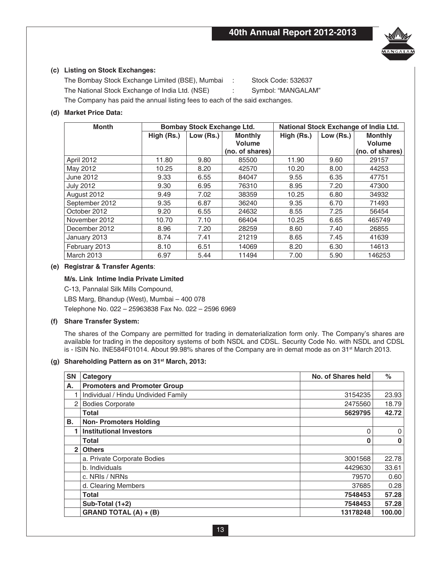

#### **(c) Listing on Stock Exchanges:**

| The Bombay Stock Exchange Limited (BSE), Mumbai                             | Stock Code: 532637 |
|-----------------------------------------------------------------------------|--------------------|
| The National Stock Exchange of India Ltd. (NSE)                             | Symbol: "MANGALAM" |
| The Company has paid the annual listing fees to each of the said exchanges. |                    |

#### **(d) Market Price Data:**

| <b>Month</b>      | <b>Bombay Stock Exchange Ltd.</b> |           |                 |            |           | National Stock Exchange of India Ltd. |
|-------------------|-----------------------------------|-----------|-----------------|------------|-----------|---------------------------------------|
|                   | High (Rs.)                        | Low (Rs.) | <b>Monthly</b>  | High (Rs.) | Low (Rs.) | <b>Monthly</b>                        |
|                   |                                   |           | <b>Volume</b>   |            |           | Volume                                |
|                   |                                   |           | (no. of shares) |            |           | (no. of shares)                       |
| April 2012        | 11.80                             | 9.80      | 85500           | 11.90      | 9.60      | 29157                                 |
| May 2012          | 10.25                             | 8.20      | 42570           | 10.20      | 8.00      | 44253                                 |
| <b>June 2012</b>  | 9.33                              | 6.55      | 84047           | 9.55       | 6.35      | 47751                                 |
| <b>July 2012</b>  | 9.30                              | 6.95      | 76310           | 8.95       | 7.20      | 47300                                 |
| August 2012       | 9.49                              | 7.02      | 38359           | 10.25      | 6.80      | 34932                                 |
| September 2012    | 9.35                              | 6.87      | 36240           | 9.35       | 6.70      | 71493                                 |
| October 2012      | 9.20                              | 6.55      | 24632           | 8.55       | 7.25      | 56454                                 |
| November 2012     | 10.70                             | 7.10      | 66404           | 10.25      | 6.65      | 465749                                |
| December 2012     | 8.96                              | 7.20      | 28259           | 8.60       | 7.40      | 26855                                 |
| January 2013      | 8.74                              | 7.41      | 21219           | 8.65       | 7.45      | 41639                                 |
| February 2013     | 8.10                              | 6.51      | 14069           | 8.20       | 6.30      | 14613                                 |
| <b>March 2013</b> | 6.97                              | 5.44      | 11494           | 7.00       | 5.90      | 146253                                |

#### **(e) Registrar & Transfer Agents**:

#### **M/s. Link Intime India Private Limited**

C-13, Pannalal Silk Mills Compound,

LBS Marg, Bhandup (West), Mumbai – 400 078

Telephone No. 022 – 25963838 Fax No. 022 – 2596 6969

#### **(f) Share Transfer System:**

 The shares of the Company are permitted for trading in dematerialization form only. The Company's shares are available for trading in the depository systems of both NSDL and CDSL. Security Code No. with NSDL and CDSL is - ISIN No. INE584F01014. About 99.98% shares of the Company are in demat mode as on 31<sup>st</sup> March 2013.

#### **(g) Shareholding Pattern as on 31st March, 2013:**

| <b>SN</b>      | No. of Shares held<br>Category      |          |        |  |  |
|----------------|-------------------------------------|----------|--------|--|--|
| А.             | <b>Promoters and Promoter Group</b> |          |        |  |  |
|                | Individual / Hindu Undivided Family | 3154235  | 23.93  |  |  |
| 21             | <b>Bodies Corporate</b>             | 2475560  | 18.79  |  |  |
|                | Total                               | 5629795  | 42.72  |  |  |
| В.             | <b>Non-Promoters Holding</b>        |          |        |  |  |
|                | <b>Institutional Investors</b>      | 0        | 0      |  |  |
|                | Total                               | ŋ        | 0      |  |  |
| $\overline{2}$ | <b>Others</b>                       |          |        |  |  |
|                | a. Private Corporate Bodies         | 3001568  | 22.78  |  |  |
|                | b. Individuals                      | 4429630  | 33.61  |  |  |
|                | c. NRIs / NRNs                      | 79570    | 0.60   |  |  |
|                | d. Clearing Members                 | 37685    | 0.28   |  |  |
|                | Total                               | 7548453  | 57.28  |  |  |
|                | 7548453<br>Sub-Total (1+2)          |          |        |  |  |
|                | <b>GRAND TOTAL (A) + (B)</b>        | 13178248 | 100.00 |  |  |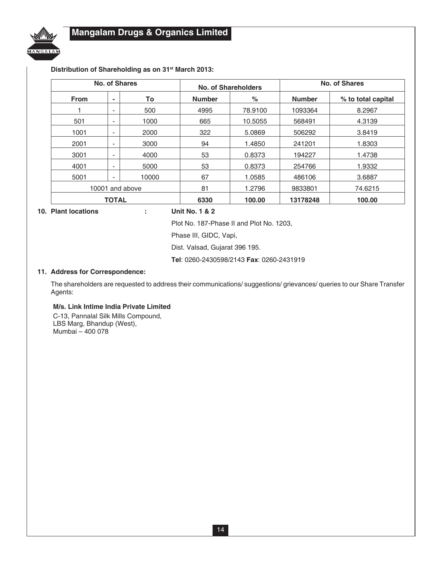

#### **Distribution of Shareholding as on 31st March 2013:**

| No. of Shares   |                | No. of Shareholders |               | No. of Shares |               |                    |
|-----------------|----------------|---------------------|---------------|---------------|---------------|--------------------|
| <b>From</b>     | $\blacksquare$ | To                  | <b>Number</b> | $\%$          | <b>Number</b> | % to total capital |
|                 | ٠              | 500                 | 4995          | 78.9100       | 1093364       | 8.2967             |
| 501             | ٠              | 1000                | 665           | 10.5055       | 568491        | 4.3139             |
| 1001            | ٠              | 2000                | 322           | 5.0869        | 506292        | 3.8419             |
| 2001            | -              | 3000                | 94            | 1.4850        | 241201        | 1.8303             |
| 3001            | ٠              | 4000                | 53            | 0.8373        | 194227        | 1.4738             |
| 4001            | ٠              | 5000                | 53            | 0.8373        | 254766        | 1.9332             |
| 5001            | ۰              | 10000               | 67            | 1.0585        | 486106        | 3.6887             |
| 10001 and above |                | 81                  | 1.2796        | 9833801       | 74.6215       |                    |
| <b>TOTAL</b>    |                | 6330                | 100.00        | 13178248      | 100.00        |                    |

#### **10. Plant locations : Unit No. 1 & 2**

Plot No. 187-Phase II and Plot No. 1203,

Phase III, GIDC, Vapi,

Dist. Valsad, Gujarat 396 195.

 **Tel**: 0260-2430598/2143 **Fax**: 0260-2431919

#### **11. Address for Correspondence:**

The shareholders are requested to address their communications/ suggestions/ grievances/ queries to our Share Transfer Agents:

#### **M/s. Link Intime India Private Limited**

C-13, Pannalal Silk Mills Compound, LBS Marg, Bhandup (West), Mumbai – 400 078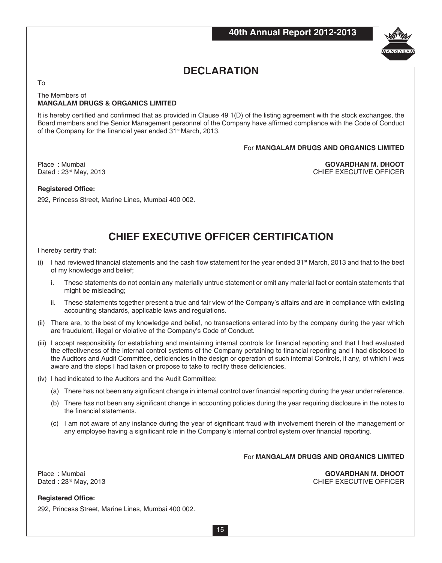

# **DECLARATION**

To

#### The Members of **MANGALAM DRUGS & ORGANICS LIMITED**

It is hereby certified and confirmed that as provided in Clause 49 1(D) of the listing agreement with the stock exchanges, the Board members and the Senior Management personnel of the Company have affirmed compliance with the Code of Conduct of the Company for the financial year ended 31<sup>st</sup> March, 2013.

#### For **MANGALAM DRUGS AND ORGANICS LIMITED**

Place : Mumbai **GOVARDHAN M. DHOOT** CHIEF EXECUTIVE OFFICER

#### **Registered Office:**

292, Princess Street, Marine Lines, Mumbai 400 002.

# **CHIEF EXECUTIVE OFFICER CERTIFICATION**

I hereby certify that:

- (i) I had reviewed financial statements and the cash flow statement for the year ended  $31<sup>st</sup>$  March, 2013 and that to the best of my knowledge and belief;
	- i. These statements do not contain any materially untrue statement or omit any material fact or contain statements that might be misleading;
	- ii. These statements together present a true and fair view of the Company's affairs and are in compliance with existing accounting standards, applicable laws and regulations.
- (ii) There are, to the best of my knowledge and belief, no transactions entered into by the company during the year which are fraudulent, illegal or violative of the Company's Code of Conduct.
- (iii) I accept responsibility for establishing and maintaining internal controls for financial reporting and that I had evaluated the effectiveness of the internal control systems of the Company pertaining to financial reporting and I had disclosed to the Auditors and Audit Committee, deficiencies in the design or operation of such internal Controls, if any, of which I was aware and the steps I had taken or propose to take to rectify these deficiencies.
- (iv) I had indicated to the Auditors and the Audit Committee:
	- (a) There has not been any significant change in internal control over financial reporting during the year under reference.
	- (b) There has not been any significant change in accounting policies during the year requiring disclosure in the notes to the financial statements.
	- (c) I am not aware of any instance during the year of significant fraud with involvement therein of the management or any employee having a significant role in the Company's internal control system over financial reporting.

#### For **MANGALAM DRUGS AND ORGANICS LIMITED**

Place : Mumbai **GOVARDHAN M. DHOOT** CHIEF EXECUTIVE OFFICER

**Registered Office:**

292, Princess Street, Marine Lines, Mumbai 400 002.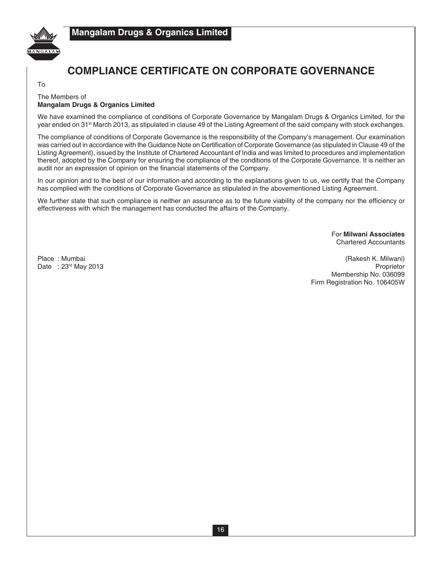

# **COMPLIANCE CERTIFICATE ON CORPORATE GOVERNANCE**

To

#### The Members of **Mangalam Drugs & Organics Limited**

We have examined the compliance of conditions of Corporate Governance by Mangalam Drugs & Organics Limited, for the year ended on 31<sup>st</sup> March 2013, as stipulated in clause 49 of the Listing Agreement of the said company with stock exchanges.

The compliance of conditions of Corporate Governance is the responsibility of the Company's management. Our examination was carried out in accordance with the Guidance Note on Certification of Corporate Governance (as stipulated in Clause 49 of the Listing Agreement), issued by the Institute of Chartered Accountant of India and was limited to procedures and implementation thereof, adopted by the Company for ensuring the compliance of the conditions of the Corporate Governance. It is neither an audit nor an expression of opinion on the financial statements of the Company.

In our opinion and to the best of our information and according to the explanations given to us, we certify that the Company has complied with the conditions of Corporate Governance as stipulated in the abovementioned Listing Agreement.

We further state that such compliance is neither an assurance as to the future viability of the company nor the efficiency or effectiveness with which the management has conducted the affairs of the Company.

> For **Milwani Associates** Chartered Accountants

Place : Mumbai (Rakesh K. Milwani) Date : 23<sup>rd</sup> May 2013 **Proprietor Proprietor Proprietor Proprietor Proprietor** Membership No. 036099 Firm Registration No. 106405W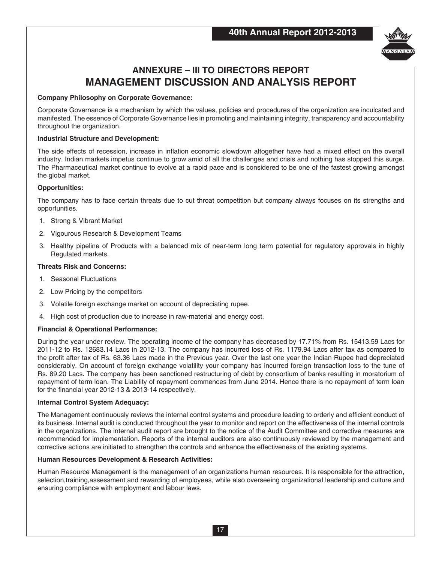

### **ANNEXURE – III TO DIRECTORS REPORT MANAGEMENT DISCUSSION AND ANALYSIS REPORT**

#### **Company Philosophy on Corporate Governance:**

Corporate Governance is a mechanism by which the values, policies and procedures of the organization are inculcated and manifested. The essence of Corporate Governance lies in promoting and maintaining integrity, transparency and accountability throughout the organization.

#### **Industrial Structure and Development:**

The side effects of recession, increase in inflation economic slowdown altogether have had a mixed effect on the overall industry. Indian markets impetus continue to grow amid of all the challenges and crisis and nothing has stopped this surge. The Pharmaceutical market continue to evolve at a rapid pace and is considered to be one of the fastest growing amongst the global market.

#### **Opportunities:**

The company has to face certain threats due to cut throat competition but company always focuses on its strengths and opportunities.

- 1. Strong & Vibrant Market
- 2. Vigourous Research & Development Teams
- 3. Healthy pipeline of Products with a balanced mix of near-term long term potential for regulatory approvals in highly Regulated markets.

#### **Threats Risk and Concerns:**

- 1. Seasonal Fluctuations
- 2. Low Pricing by the competitors
- 3. Volatile foreign exchange market on account of depreciating rupee.
- 4. High cost of production due to increase in raw-material and energy cost.

#### **Financial & Operational Performance:**

During the year under review. The operating income of the company has decreased by 17.71% from Rs. 15413.59 Lacs for 2011-12 to Rs. 12683.14 Lacs in 2012-13. The company has incurred loss of Rs. 1179.94 Lacs after tax as compared to the profit after tax of Rs. 63.36 Lacs made in the Previous year. Over the last one year the Indian Rupee had depreciated considerably. On account of foreign exchange volatility your company has incurred foreign transaction loss to the tune of Rs. 89.20 Lacs. The company has been sanctioned restructuring of debt by consortium of banks resulting in moratorium of repayment of term loan. The Liability of repayment commences from June 2014. Hence there is no repayment of term loan for the financial year 2012-13 & 2013-14 respectively.

#### **Internal Control System Adequacy:**

The Management continuously reviews the internal control systems and procedure leading to orderly and efficient conduct of its business. Internal audit is conducted throughout the year to monitor and report on the effectiveness of the internal controls in the organizations. The internal audit report are brought to the notice of the Audit Committee and corrective measures are recommended for implementation. Reports of the internal auditors are also continuously reviewed by the management and corrective actions are initiated to strengthen the controls and enhance the effectiveness of the existing systems.

#### **Human Resources Development & Research Activities:**

Human Resource Management is the management of an organizations human resources. It is responsible for the attraction, selection,training,assessment and rewarding of employees, while also overseeing organizational leadership and culture and ensuring compliance with employment and labour laws.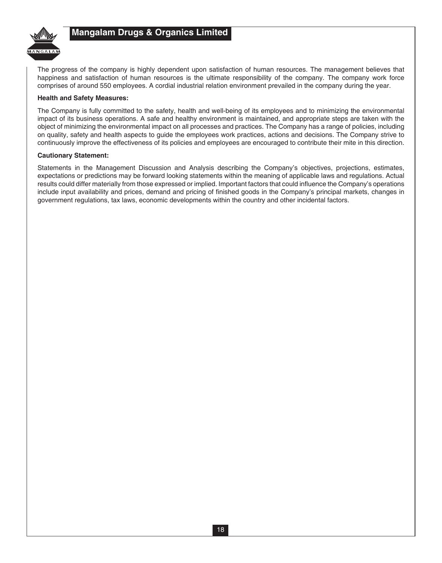

The progress of the company is highly dependent upon satisfaction of human resources. The management believes that happiness and satisfaction of human resources is the ultimate responsibility of the company. The company work force comprises of around 550 employees. A cordial industrial relation environment prevailed in the company during the year.

#### **Health and Safety Measures:**

The Company is fully committed to the safety, health and well-being of its employees and to minimizing the environmental impact of its business operations. A safe and healthy environment is maintained, and appropriate steps are taken with the object of minimizing the environmental impact on all processes and practices. The Company has a range of policies, including on quality, safety and health aspects to guide the employees work practices, actions and decisions. The Company strive to continuously improve the effectiveness of its policies and employees are encouraged to contribute their mite in this direction.

#### **Cautionary Statement:**

Statements in the Management Discussion and Analysis describing the Company's objectives, projections, estimates, expectations or predictions may be forward looking statements within the meaning of applicable laws and regulations. Actual results could differ materially from those expressed or implied. Important factors that could influence the Company's operations include input availability and prices, demand and pricing of finished goods in the Company's principal markets, changes in government regulations, tax laws, economic developments within the country and other incidental factors.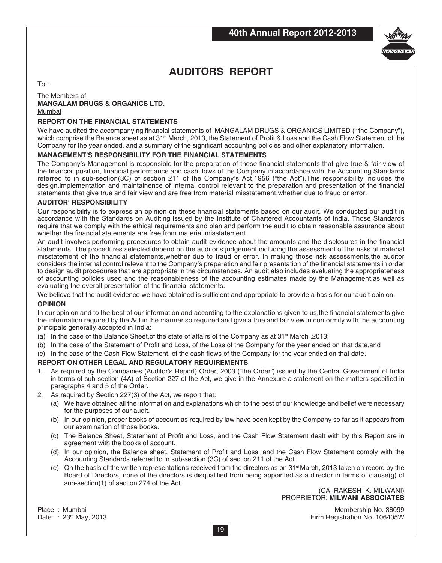

# **AUDITORS REPORT**

To :

#### The Members of **MANGALAM DRUGS & ORGANICS LTD.** Mumbai

#### **REPORT ON THE FINANCIAL STATEMENTS**

We have audited the accompanying financial statements of MANGALAM DRUGS & ORGANICS LIMITED (" the Company"), which comprise the Balance sheet as at 31<sup>st</sup> March, 2013, the Statement of Profit & Loss and the Cash Flow Statement of the Company for the year ended, and a summary of the significant accounting policies and other explanatory information.

#### **MANAGEMENT'S RESPONSIBILITY FOR THE FINANCIAL STATEMENTS**

The Company's Management is responsible for the preparation of these financial statements that give true & fair view of the financial position, financial performance and cash flows of the Company in accordance with the Accounting Standards referred to in sub-section(3C) of section 211 of the Company's Act,1956 ("the Act").This responsibility includes the design,implementation and maintainence of internal control relevant to the preparation and presentation of the financial statements that give true and fair view and are free from material misstatement,whether due to fraud or error.

#### **AUDITOR' RESPONSIBILITY**

Our responsibility is to express an opinion on these financial statements based on our audit. We conducted our audit in accordance with the Standards on Auditing issued by the Institute of Chartered Accountants of India. Those Standards require that we comply with the ethical requirements and plan and perform the audit to obtain reasonable assurance about whether the financial statements are free from material misstatement.

An audit involves performing procedures to obtain audit evidence about the amounts and the disclosures in the financial statements. The procedures selected depend on the auditor's judgement,including the assessment of the risks of material misstatement of the financial statements,whether due to fraud or error. In making those risk assessments,the auditor considers the internal control relevant to the Company's preparation and fair presentation of the financial statements in order to design audit procedures that are appropriate in the circumstances. An audit also includes evaluating the appropriateness of accounting policies used and the reasonableness of the accounting estimates made by the Management,as well as evaluating the overall presentation of the financial statements.

We believe that the audit evidence we have obtained is sufficient and appropriate to provide a basis for our audit opinion.

#### **OPINION**

In our opinion and to the best of our information and according to the explanations given to us,the financial statements give the information required by the Act in the manner so required and give a true and fair view in conformity with the accounting principals generally accepted in India:

- (a) In the case of the Balance Sheet, of the state of affairs of the Company as at  $31^{st}$  March , 2013;
- (b) In the case of the Statement of Profit and Loss, of the Loss of the Company for the year ended on that date,and
- (c) In the case of the Cash Flow Statement, of the cash flows of the Company for the year ended on that date.

#### **REPORT ON OTHER LEGAL AND REGULATORY REQUIREMENTS**

- 1. As required by the Companies (Auditor's Report) Order, 2003 ("the Order") issued by the Central Government of India in terms of sub-section (4A) of Section 227 of the Act, we give in the Annexure a statement on the matters specified in paragraphs 4 and 5 of the Order.
- 2. As required by Section 227(3) of the Act, we report that:
	- (a) We have obtained all the information and explanations which to the best of our knowledge and belief were necessary for the purposes of our audit.
	- (b) In our opinion, proper books of account as required by law have been kept by the Company so far as it appears from our examination of those books.
	- (c) The Balance Sheet, Statement of Profit and Loss, and the Cash Flow Statement dealt with by this Report are in agreement with the books of account.
	- (d) In our opinion, the Balance sheet, Statement of Profit and Loss, and the Cash Flow Statement comply with the Accounting Standards referred to in sub-section (3C) of section 211 of the Act.
	- (e) On the basis of the written representations received from the directors as on  $31^{st}$  March, 2013 taken on record by the Board of Directors, none of the directors is disqualified from being appointed as a director in terms of clause(g) of sub-section(1) of section 274 of the Act.

(CA. RAKESH K. MILWANI) PROPRIETOR: **MILWANI ASSOCIATES**

Place : Mumbai Membership No. 36099 Firm Registration No. 106405W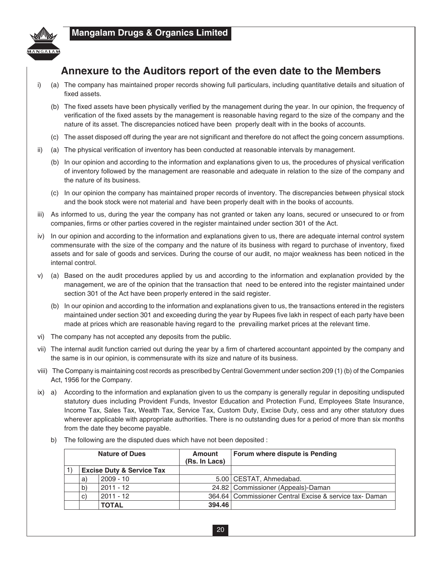

### **Annexure to the Auditors report of the even date to the Members**

- i) (a) The company has maintained proper records showing full particulars, including quantitative details and situation of fixed assets.
	- (b) The fixed assets have been physically verified by the management during the year. In our opinion, the frequency of verification of the fixed assets by the management is reasonable having regard to the size of the company and the nature of its asset. The discrepancies noticed have been properly dealt with in the books of accounts.
	- (c) The asset disposed off during the year are not significant and therefore do not affect the going concern assumptions.
- ii) (a) The physical verification of inventory has been conducted at reasonable intervals by management.
	- (b) In our opinion and according to the information and explanations given to us, the procedures of physical verification of inventory followed by the management are reasonable and adequate in relation to the size of the company and the nature of its business.
	- (c) In our opinion the company has maintained proper records of inventory. The discrepancies between physical stock and the book stock were not material and have been properly dealt with in the books of accounts.
- iii) As informed to us, during the year the company has not granted or taken any loans, secured or unsecured to or from companies, firms or other parties covered in the register maintained under section 301 of the Act.
- iv) In our opinion and according to the information and explanations given to us, there are adequate internal control system commensurate with the size of the company and the nature of its business with regard to purchase of inventory, fixed assets and for sale of goods and services. During the course of our audit, no major weakness has been noticed in the internal control.
- v) (a) Based on the audit procedures applied by us and according to the information and explanation provided by the management, we are of the opinion that the transaction that need to be entered into the register maintained under section 301 of the Act have been properly entered in the said register.
	- (b) In our opinion and according to the information and explanations given to us, the transactions entered in the registers maintained under section 301 and exceeding during the year by Rupees five lakh in respect of each party have been made at prices which are reasonable having regard to the prevailing market prices at the relevant time.
- vi) The company has not accepted any deposits from the public.
- vii) The internal audit function carried out during the year by a firm of chartered accountant appointed by the company and the same is in our opinion, is commensurate with its size and nature of its business.
- viii) The Company is maintaining cost records as prescribed by Central Government under section 209 (1) (b) of the Companies Act, 1956 for the Company.
- ix) a) According to the information and explanation given to us the company is generally regular in depositing undisputed statutory dues including Provident Funds, Investor Education and Protection Fund, Employees State Insurance, Income Tax, Sales Tax, Wealth Tax, Service Tax, Custom Duty, Excise Duty, cess and any other statutory dues wherever applicable with appropriate authorities. There is no outstanding dues for a period of more than six months from the date they become payable.

|                                      | <b>Nature of Dues</b> | <b>Amount</b><br>(Rs. In Lacs) | Forum where dispute is Pending                           |
|--------------------------------------|-----------------------|--------------------------------|----------------------------------------------------------|
| <b>Excise Duty &amp; Service Tax</b> |                       |                                |                                                          |
| a)                                   | $2009 - 10$           |                                | 5.00 CESTAT, Ahmedabad.                                  |
| b)                                   | $2011 - 12$           |                                | 24.82 Commissioner (Appeals)-Daman                       |
| C)                                   | $2011 - 12$           |                                | 364.64   Commissioner Central Excise & service tax-Daman |
|                                      | <b>TOTAL</b>          | 394.46                         |                                                          |

b) The following are the disputed dues which have not been deposited :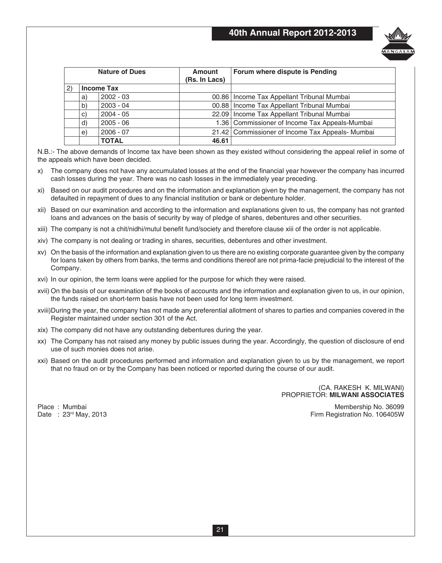

|                          |    | <b>Nature of Dues</b> | <b>Amount</b><br>(Rs. In Lacs) | Forum where dispute is Pending                   |
|--------------------------|----|-----------------------|--------------------------------|--------------------------------------------------|
| (2)<br><b>Income Tax</b> |    |                       |                                |                                                  |
|                          | a) | $2002 - 03$           |                                | 00.86   Income Tax Appellant Tribunal Mumbai     |
|                          | b) | $2003 - 04$           |                                | 00.88   Income Tax Appellant Tribunal Mumbai     |
|                          | C) | $2004 - 05$           |                                | 22.09   Income Tax Appellant Tribunal Mumbai     |
|                          | d) | $2005 - 06$           |                                | 1.36 Commissioner of Income Tax Appeals-Mumbai   |
|                          | e) | $2006 - 07$           |                                | 21.42 Commissioner of Income Tax Appeals- Mumbai |
|                          |    | <b>TOTAL</b>          | 46.61                          |                                                  |

N.B.:- The above demands of Income tax have been shown as they existed without considering the appeal relief in some of the appeals which have been decided.

- x) The company does not have any accumulated losses at the end of the financial year however the company has incurred cash losses during the year. There was no cash losses in the immediately year preceding.
- xi) Based on our audit procedures and on the information and explanation given by the management, the company has not defaulted in repayment of dues to any financial institution or bank or debenture holder.
- xii) Based on our examination and according to the information and explanations given to us, the company has not granted loans and advances on the basis of security by way of pledge of shares, debentures and other securities.
- xiii) The company is not a chit/nidhi/mutul benefit fund/society and therefore clause xiii of the order is not applicable.
- xiv) The company is not dealing or trading in shares, securities, debentures and other investment.
- xv) On the basis of the information and explanation given to us there are no existing corporate guarantee given by the company for loans taken by others from banks, the terms and conditions thereof are not prima-facie prejudicial to the interest of the Company.
- xvi) In our opinion, the term loans were applied for the purpose for which they were raised.
- xvii) On the basis of our examination of the books of accounts and the information and explanation given to us, in our opinion, the funds raised on short-term basis have not been used for long term investment.
- xviii)During the year, the company has not made any preferential allotment of shares to parties and companies covered in the Register maintained under section 301 of the Act.
- xix) The company did not have any outstanding debentures during the year.
- xx) The Company has not raised any money by public issues during the year. Accordingly, the question of disclosure of end use of such monies does not arise.
- xxi) Based on the audit procedures performed and information and explanation given to us by the management, we report that no fraud on or by the Company has been noticed or reported during the course of our audit.

(CA. RAKESH K. MILWANI) PROPRIETOR: **MILWANI ASSOCIATES**

Place:Mumbai Membership No. 36099<br>Date : 23<sup>rd</sup> May, 2013 Firm Registration No. 106405W Firm Registration No. 106405W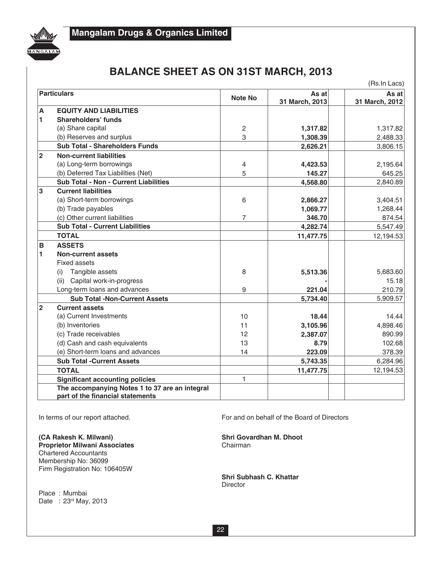

# **BALANCE SHEET AS ON 31ST MARCH, 2013**

(Rs.In Lacs) **Particulars As at** <br>**Rote No <b>As at As at Note No As at As at As at As at As at As at As at As at As at As at As at As at As at As at As at As at As at As at 31 March, 2013 As at 31 March, 2012 A EQUITY AND LIABILITIES 1 Shareholders' funds** (a) Share capital 2 **1,317.82** 1,317.82 (b) Reserves and surplus 3 **1,308.39** 2,488.33 **Sub Total - Shareholders Funds** 2,626.21 3,806.15 **2 Non-current liabilities** (a) Long-term borrowings 4 **4,423.53** 2,195.64 (b) Deferred Tax Liabilities (Net) 5 **145.27** 645.25 **Sub Total - Non - Current Liabilities 4,568.80** 2,840.89 **3 Current liabilities** (a) Short-term borrowings 6 **2,866.27** 3,404.51 (b) Trade payables 1,268.44 (c) Other current liabilities **346.70** 874.54 **Sub Total - Current Liabilities 1.282.74** 5,547.49 **TOTAL** 11,477.75 12,194.53 **B ASSETS 1 Non-current assets** Fixed assets (i) Tangible assets **8 5,513.36** 5,683.60 (ii) Capital work-in-progress **-** 15.18 Long-term loans and advances **1988 221.04 210.79 221.04 210.79 Sub Total -Non-Current Assets 5,909.57 <b>5,734.40** 5,734.40 **2 Current assets** (a) Current Investments **10** 10 10 18.44 16.444 14.44 (b) Inventories 11 **3,105.96** 4,898.46 (c) Trade receivables **12** 12 **2.387.07** 890.99 (d) Cash and cash equivalents  $\begin{vmatrix} 13 & 1 \end{vmatrix}$  **8.79** 102.68 (e) Short-term loans and advances 14 **223.09** 378.39 **Sub Total -Current Assets 5,743.35** 6,284.96 **TOTAL** 11,477.75 12,194.53 **Significant accounting policies** 1 **The accompanying Notes 1 to 37 are an integral part of the financial statements**

**(CA Rakesh K. Milwani) Shri Govardhan M. Dhoot Proprietor Milwani Associates** Chartered Accountants Membership No: 36099 Firm Registration No: 106405W

Place : Mumbai Date : 23<sup>rd</sup> May, 2013

In terms of our report attached. The state of Directors For and on behalf of the Board of Directors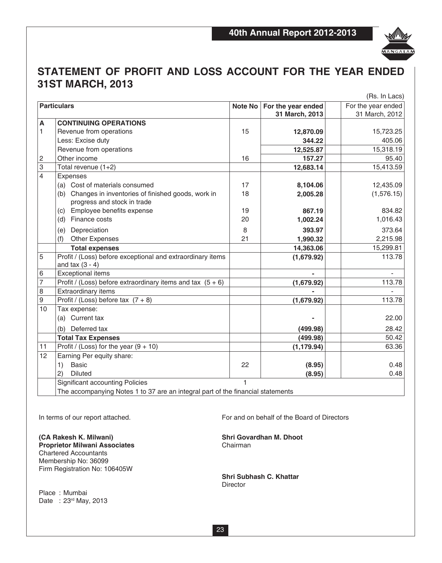

# **STATEMENT OF PROFIT AND LOSS ACCOUNT FOR THE YEAR ENDED 31ST MARCH, 2013**

 $(De \ln \log e)$ 

| <b>Particulars</b><br>Note No<br>For the year ended<br>For the year ended<br>31 March, 2012<br>31 March, 2013<br>A<br><b>CONTINUING OPERATIONS</b><br>1<br>Revenue from operations<br>15<br>12,870.09<br>15,723.25 |
|--------------------------------------------------------------------------------------------------------------------------------------------------------------------------------------------------------------------|
|                                                                                                                                                                                                                    |
|                                                                                                                                                                                                                    |
|                                                                                                                                                                                                                    |
|                                                                                                                                                                                                                    |
| Less: Excise duty<br>405.06<br>344.22                                                                                                                                                                              |
| Revenue from operations<br>15,318.19<br>12,525.87                                                                                                                                                                  |
| $\sqrt{2}$<br>Other income<br>95.40<br>16<br>157.27                                                                                                                                                                |
| $\overline{\overline{3}}$<br>15,413.59<br>Total revenue $(1+2)$<br>12,683.14                                                                                                                                       |
| $\overline{4}$<br>Expenses                                                                                                                                                                                         |
| (a) Cost of materials consumed<br>17<br>12,435.09<br>8,104.06                                                                                                                                                      |
| Changes in inventories of finished goods, work in<br>18<br>2,005.28<br>(1,576.15)<br>(b)                                                                                                                           |
| progress and stock in trade                                                                                                                                                                                        |
| Employee benefits expense<br>834.82<br>19<br>867.19<br>(c)                                                                                                                                                         |
| Finance costs<br>1,016.43<br>20<br>(d)<br>1,002.24                                                                                                                                                                 |
| 373.64<br>8<br>393.97<br>Depreciation<br>(e)                                                                                                                                                                       |
| Other Expenses<br>21<br>2,215.98<br>(f)<br>1,990.32                                                                                                                                                                |
| 15,299.81<br><b>Total expenses</b><br>14,363.06                                                                                                                                                                    |
| 5<br>Profit / (Loss) before exceptional and extraordinary items<br>113.78<br>(1,679.92)                                                                                                                            |
| and tax $(3 - 4)$                                                                                                                                                                                                  |
| $\,6\,$<br><b>Exceptional items</b>                                                                                                                                                                                |
| $\overline{7}$<br>113.78<br>Profit / (Loss) before extraordinary items and tax $(5 + 6)$<br>(1,679.92)                                                                                                             |
| $\overline{8}$<br>Extraordinary items                                                                                                                                                                              |
| $\overline{9}$<br>Profit / (Loss) before tax $(7 + 8)$<br>113.78<br>(1,679.92)                                                                                                                                     |
| 10<br>Tax expense:                                                                                                                                                                                                 |
| (a) Current tax<br>22.00                                                                                                                                                                                           |
| (b) Deferred tax<br>28.42<br>(499.98)                                                                                                                                                                              |
| 50.42<br><b>Total Tax Expenses</b><br>(499.98)                                                                                                                                                                     |
| Profit / (Loss) for the year $(9 + 10)$<br>11<br>63.36<br>(1, 179.94)                                                                                                                                              |
| 12<br>Earning Per equity share:                                                                                                                                                                                    |
| <b>Basic</b><br>22<br>0.48<br>1)<br>(8.95)                                                                                                                                                                         |
| (2)<br><b>Diluted</b><br>(8.95)<br>0.48                                                                                                                                                                            |
|                                                                                                                                                                                                                    |
| <b>Significant accounting Policies</b>                                                                                                                                                                             |

**(CA Rakesh K. Milwani) Shri Govardhan M. Dhoot Proprietor Milwani Associates** Chartered Accountants Membership No: 36099 Firm Registration No: 106405W

Place : Mumbai Date : 23rd May, 2013

In terms of our report attached. For and on behalf of the Board of Directors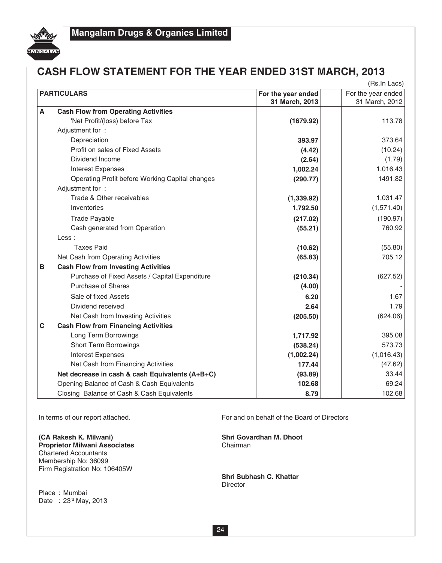

# **CASH FLOW STATEMENT FOR THE YEAR ENDED 31ST MARCH, 2013**

| (Rs.In Lacs) |                                                 |                    |                    |  |  |
|--------------|-------------------------------------------------|--------------------|--------------------|--|--|
|              | <b>PARTICULARS</b>                              | For the year ended | For the year ended |  |  |
|              |                                                 | 31 March, 2013     | 31 March, 2012     |  |  |
| A            | <b>Cash Flow from Operating Activities</b>      |                    |                    |  |  |
|              | 'Net Profit/(loss) before Tax                   | (1679.92)          | 113.78             |  |  |
|              | Adjustment for:                                 |                    |                    |  |  |
|              | Depreciation                                    | 393.97             | 373.64             |  |  |
|              | Profit on sales of Fixed Assets                 | (4.42)             | (10.24)            |  |  |
|              | Dividend Income                                 | (2.64)             | (1.79)             |  |  |
|              | <b>Interest Expenses</b>                        | 1,002.24           | 1,016.43           |  |  |
|              | Operating Profit before Working Capital changes | (290.77)           | 1491.82            |  |  |
|              | Adjustment for:                                 |                    |                    |  |  |
|              | Trade & Other receivables                       | (1,339.92)         | 1,031.47           |  |  |
|              | Inventories                                     | 1,792.50           | (1,571.40)         |  |  |
|              | <b>Trade Payable</b>                            | (217.02)           | (190.97)           |  |  |
|              | Cash generated from Operation                   | (55.21)            | 760.92             |  |  |
|              | Less:                                           |                    |                    |  |  |
|              | <b>Taxes Paid</b>                               | (10.62)            | (55.80)            |  |  |
|              | Net Cash from Operating Activities              | (65.83)            | 705.12             |  |  |
| B            | <b>Cash Flow from Investing Activities</b>      |                    |                    |  |  |
|              | Purchase of Fixed Assets / Capital Expenditure  | (210.34)           | (627.52)           |  |  |
|              | <b>Purchase of Shares</b>                       | (4.00)             |                    |  |  |
|              | Sale of fixed Assets                            | 6.20               | 1.67               |  |  |
|              | Dividend received                               | 2.64               | 1.79               |  |  |
|              | Net Cash from Investing Activities              | (205.50)           | (624.06)           |  |  |
| C            | <b>Cash Flow from Financing Activities</b>      |                    |                    |  |  |
|              | Long Term Borrowings                            | 1,717.92           | 395.08             |  |  |
|              | <b>Short Term Borrowings</b>                    | (538.24)           | 573.73             |  |  |
|              | <b>Interest Expenses</b>                        | (1,002.24)         | (1,016.43)         |  |  |
|              | Net Cash from Financing Activities              | 177.44             | (47.62)            |  |  |
|              | Net decrease in cash & cash Equivalents (A+B+C) | (93.89)            | 33.44              |  |  |
|              | Opening Balance of Cash & Cash Equivalents      | 102.68             | 69.24              |  |  |
|              | Closing Balance of Cash & Cash Equivalents      | 8.79               | 102.68             |  |  |

**(CA Rakesh K. Milwani) Shri Govardhan M. Dhoot Proprietor Milwani Associates** Chartered Accountants Membership No: 36099 Firm Registration No: 106405W

Place : Mumbai Date : 23rd May, 2013

In terms of our report attached. For and on behalf of the Board of Directors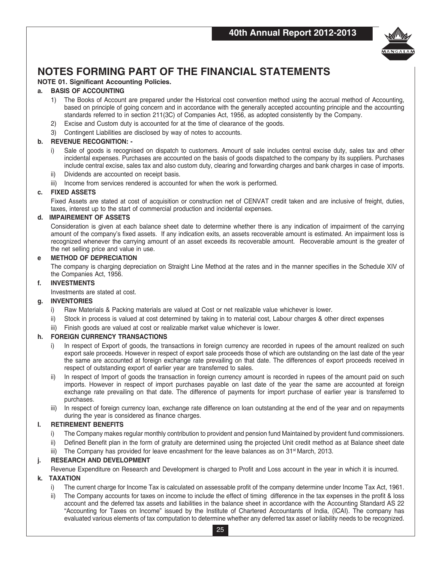

# **NOTES FORMING PART OF THE FINANCIAL STATEMENTS**

### **NOTE 01. Significant Accounting Policies.**

#### **a. BASIS OF ACCOUNTING**

- 1) The Books of Account are prepared under the Historical cost convention method using the accrual method of Accounting, based on principle of going concern and in accordance with the generally accepted accounting principle and the accounting standards referred to in section 211(3C) of Companies Act, 1956, as adopted consistently by the Company.
- 2) Excise and Custom duty is accounted for at the time of clearance of the goods.
- 3) Contingent Liabilities are disclosed by way of notes to accounts.

#### **b. REVENUE RECOGNITION: -**

- i) Sale of goods is recognised on dispatch to customers. Amount of sale includes central excise duty, sales tax and other incidental expenses. Purchases are accounted on the basis of goods dispatched to the company by its suppliers. Purchases include central excise, sales tax and also custom duty, clearing and forwarding charges and bank charges in case of imports.
- Dividends are accounted on receipt basis.
- iii) Income from services rendered is accounted for when the work is performed.

#### **c. FIXED ASSETS**

Fixed Assets are stated at cost of acquisition or construction net of CENVAT credit taken and are inclusive of freight, duties, taxes, interest up to the start of commercial production and incidental expenses.

#### **d. IMPAIREMENT OF ASSETS**

Consideration is given at each balance sheet date to determine whether there is any indication of impairment of the carrying amount of the company's fixed assets. If any indication exits, an assets recoverable amount is estimated. An impairment loss is recognized whenever the carrying amount of an asset exceeds its recoverable amount. Recoverable amount is the greater of the net selling price and value in use.

#### **e METHOD OF DEPRECIATION**

The company is charging depreciation on Straight Line Method at the rates and in the manner specifies in the Schedule XIV of the Companies Act, 1956.

#### **f. INVESTMENTS**

Investments are stated at cost.

#### **g. INVENTORIES**

- i) Raw Materials & Packing materials are valued at Cost or net realizable value whichever is lower.
- ii) Stock in process is valued at cost determined by taking in to material cost, Labour charges & other direct expenses
- iii) Finish goods are valued at cost or realizable market value whichever is lower.

#### **h. FOREIGN CURRENCY TRANSACTIONS**

- i) In respect of Export of goods, the transactions in foreign currency are recorded in rupees of the amount realized on such export sale proceeds. However in respect of export sale proceeds those of which are outstanding on the last date of the year the same are accounted at foreign exchange rate prevailing on that date. The differences of export proceeds received in respect of outstanding export of earlier year are transferred to sales.
- ii) In respect of Import of goods the transaction in foreign currency amount is recorded in rupees of the amount paid on such imports. However in respect of import purchases payable on last date of the year the same are accounted at foreign exchange rate prevailing on that date. The difference of payments for import purchase of earlier year is transferred to purchases.
- iii) In respect of foreign currency loan, exchange rate difference on loan outstanding at the end of the year and on repayments during the year is considered as finance charges.

#### **I. RETIREMENT BENEFITS**

- i) The Company makes regular monthly contribution to provident and pension fund Maintained by provident fund commissioners.
- ii) Defined Benefit plan in the form of gratuity are determined using the projected Unit credit method as at Balance sheet date
- iii) The Company has provided for leave encashment for the leave balances as on  $31<sup>st</sup>$  March, 2013.

#### **j. RESEARCH AND DEVELOPMENT**

Revenue Expenditure on Research and Development is charged to Profit and Loss account in the year in which it is incurred.

#### **k. TAXATION**

- i) The current charge for Income Tax is calculated on assessable profit of the company determine under Income Tax Act, 1961.
- ii) The Company accounts for taxes on income to include the effect of timing difference in the tax expenses in the profit & loss account and the deferred tax assets and liabilities in the balance sheet in accordance with the Accounting Standard AS 22 "Accounting for Taxes on Income" issued by the Institute of Chartered Accountants of India, (ICAI). The company has evaluated various elements of tax computation to determine whether any deferred tax asset or liability needs to be recognized.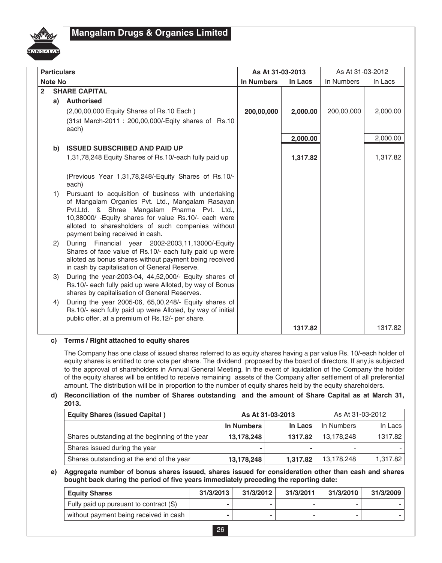

|              | <b>Particulars</b> |                                                                                                                                                                                                                                                                                                           | As At 31-03-2013  |          | As At 31-03-2012 |          |
|--------------|--------------------|-----------------------------------------------------------------------------------------------------------------------------------------------------------------------------------------------------------------------------------------------------------------------------------------------------------|-------------------|----------|------------------|----------|
|              | Note No            |                                                                                                                                                                                                                                                                                                           | <b>In Numbers</b> | In Lacs  | In Numbers       | In Lacs  |
| $\mathbf{z}$ |                    | <b>SHARE CAPITAL</b>                                                                                                                                                                                                                                                                                      |                   |          |                  |          |
|              | a)                 | <b>Authorised</b>                                                                                                                                                                                                                                                                                         |                   |          |                  |          |
|              |                    | (2,00,00,000 Equity Shares of Rs.10 Each)                                                                                                                                                                                                                                                                 | 200,00,000        | 2,000.00 | 200,00,000       | 2,000.00 |
|              |                    | (31st March-2011: 200,00,000/-Egity shares of Rs.10)<br>each)                                                                                                                                                                                                                                             |                   |          |                  |          |
|              |                    |                                                                                                                                                                                                                                                                                                           |                   | 2,000.00 |                  | 2,000.00 |
|              | b)                 | <b>ISSUED SUBSCRIBED AND PAID UP</b>                                                                                                                                                                                                                                                                      |                   |          |                  |          |
|              |                    | 1,31,78,248 Equity Shares of Rs.10/-each fully paid up                                                                                                                                                                                                                                                    |                   | 1,317.82 |                  | 1,317.82 |
|              |                    | (Previous Year 1,31,78,248/-Equity Shares of Rs.10/-<br>each)                                                                                                                                                                                                                                             |                   |          |                  |          |
|              | 1)                 | Pursuant to acquisition of business with undertaking<br>of Mangalam Organics Pvt. Ltd., Mangalam Rasayan<br>Pvt.Ltd. & Shree Mangalam Pharma Pvt. Ltd.,<br>10,38000/ - Equity shares for value Rs.10/- each were<br>alloted to sharesholders of such companies without<br>payment being received in cash. |                   |          |                  |          |
|              | (2)                | During Financial year 2002-2003,11,13000/-Equity<br>Shares of face value of Rs.10/- each fully paid up were<br>alloted as bonus shares without payment being received<br>in cash by capitalisation of General Reserve.                                                                                    |                   |          |                  |          |
|              | 3)                 | During the year-2003-04, 44,52,000/- Equity shares of<br>Rs.10/- each fully paid up were Alloted, by way of Bonus<br>shares by capitalisation of General Reserves.                                                                                                                                        |                   |          |                  |          |
|              | 4)                 | During the year 2005-06, 65,00,248/- Equity shares of<br>Rs.10/- each fully paid up were Alloted, by way of initial<br>public offer, at a premium of Rs.12/- per share.                                                                                                                                   |                   |          |                  |          |
|              |                    |                                                                                                                                                                                                                                                                                                           |                   | 1317.82  |                  | 1317.82  |

#### **c) Terms / Right attached to equity shares**

The Company has one class of issued shares referred to as equity shares having a par value Rs. 10/-each holder of equity shares is entitled to one vote per share. The dividend proposed by the board of directors, If any,is subjected to the approval of shareholders in Annual General Meeting. In the event of liquidation of the Company the holder of the equity shares will be entitled to receive remaining assets of the Company after settlement of all preferential amount. The distribution will be in proportion to the number of equity shares held by the equity shareholders.

#### **d) Reconciliation of the number of Shares outstanding and the amount of Share Capital as at March 31, 2013.**

| <b>Equity Shares (issued Capital)</b>           |            | As At 31-03-2013 | As At 31-03-2012 |             |  |
|-------------------------------------------------|------------|------------------|------------------|-------------|--|
|                                                 | In Numbers | In Lacs          | In Numbers       | In Lacs $ $ |  |
| Shares outstanding at the beginning of the year | 13,178,248 | 1317.82          | 13,178,248       | 1317.82     |  |
| Shares issued during the year                   |            | -                |                  |             |  |
| Shares outstanding at the end of the year       | 13,178,248 | 1,317.82         | 13,178,248       | 1,317.82    |  |

#### **e) Aggregate number of bonus shares issued, shares issued for consideration other than cash and shares bought back during the period of five years immediately preceding the reporting date:**

| <b>Equity Shares</b>                   | 31/3/2013 | 31/3/2012 | 31/3/2011 | 31/3/2010 | 31/3/2009 |
|----------------------------------------|-----------|-----------|-----------|-----------|-----------|
| Fully paid up pursuant to contract (S) |           |           |           |           |           |
| without payment being received in cash |           |           |           |           |           |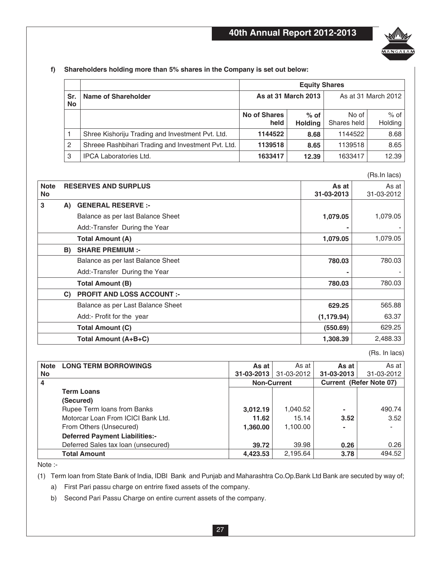

#### **f) Shareholders holding more than 5% shares in the Company is set out below:**

|                  |                                                    | <b>Equity Shares</b> |                          |                      |                     |  |  |
|------------------|----------------------------------------------------|----------------------|--------------------------|----------------------|---------------------|--|--|
| Sr.<br><b>No</b> | Name of Shareholder                                | As at 31 March 2013  |                          |                      | As at 31 March 2012 |  |  |
|                  |                                                    | No of Shares<br>held | $%$ of<br><b>Holding</b> | No of<br>Shares held | $%$ of<br>Holding   |  |  |
|                  | Shree Kishoriju Trading and Investment Pvt. Ltd.   | 1144522              | 8.68                     | 1144522              | 8.68                |  |  |
| $\overline{2}$   | Shreee Rashbihari Trading and Investment Pvt. Ltd. | 1139518              | 8.65                     | 1139518              | 8.65                |  |  |
| 3                | <b>IPCA Laboratories Ltd.</b>                      | 1633417              | 12.39                    | 1633417              | 12.39               |  |  |

|                   | (Rs.In lacs)                  |                                   |                     |                     |  |  |
|-------------------|-------------------------------|-----------------------------------|---------------------|---------------------|--|--|
| <b>Note</b><br>No |                               | <b>RESERVES AND SURPLUS</b>       | As at<br>31-03-2013 | As at<br>31-03-2012 |  |  |
| 3                 | A)                            | <b>GENERAL RESERVE :-</b>         |                     |                     |  |  |
|                   |                               | Balance as per last Balance Sheet | 1,079.05            | 1,079.05            |  |  |
|                   | Add:-Transfer During the Year |                                   |                     |                     |  |  |
|                   | <b>Total Amount (A)</b>       |                                   | 1,079.05            | 1,079.05            |  |  |
|                   | <b>SHARE PREMIUM :-</b><br>B) |                                   |                     |                     |  |  |
|                   |                               | Balance as per last Balance Sheet | 780.03              | 780.03              |  |  |
|                   |                               | Add:-Transfer During the Year     |                     |                     |  |  |
|                   |                               | <b>Total Amount (B)</b>           | 780.03              | 780.03              |  |  |
|                   | C)                            | <b>PROFIT AND LOSS ACCOUNT :-</b> |                     |                     |  |  |
|                   |                               | Balance as per Last Balance Sheet | 629.25              | 565.88              |  |  |
|                   |                               | Add:- Profit for the year         | (1, 179.94)         | 63.37               |  |  |
|                   |                               | <b>Total Amount (C)</b>           | (550.69)            | 629.25              |  |  |
|                   |                               | Total Amount (A+B+C)              | 1,308.39            | 2,488.33            |  |  |

(Rs. In lacs)

| <b>Note</b> | <b>LONG TERM BORROWINGS</b>           | As at              | As at      | As at                   | As at      |  |
|-------------|---------------------------------------|--------------------|------------|-------------------------|------------|--|
| <b>No</b>   |                                       | 31-03-2013         | 31-03-2012 | 31-03-2013              | 31-03-2012 |  |
| 4           |                                       | <b>Non-Current</b> |            | Current (Refer Note 07) |            |  |
|             | <b>Term Loans</b>                     |                    |            |                         |            |  |
|             | (Secured)                             |                    |            |                         |            |  |
|             | Rupee Term loans from Banks           | 3,012.19           | 1,040.52   |                         | 490.74     |  |
|             | Motorcar Loan From ICICI Bank Ltd.    | 11.62              | 15.14      | 3.52                    | 3.52       |  |
|             | From Others (Unsecured)               | 1,360.00           | 1.100.00   | ۰                       |            |  |
|             | <b>Deferred Payment Liabilities:-</b> |                    |            |                         |            |  |
|             | Deferred Sales tax loan (unsecured)   | 39.72              | 39.98      | 0.26                    | 0.26       |  |
|             | <b>Total Amount</b>                   | 4,423.53           | 2.195.64   | 3.78                    | 494.52     |  |

Note :-

(1) Term loan from State Bank of India, IDBI Bank and Punjab and Maharashtra Co.Op.Bank Ltd Bank are secuted by way of;

a) First Pari passu charge on entrire fixed assets of the company.

b) Second Pari Passu Charge on entire current assets of the company.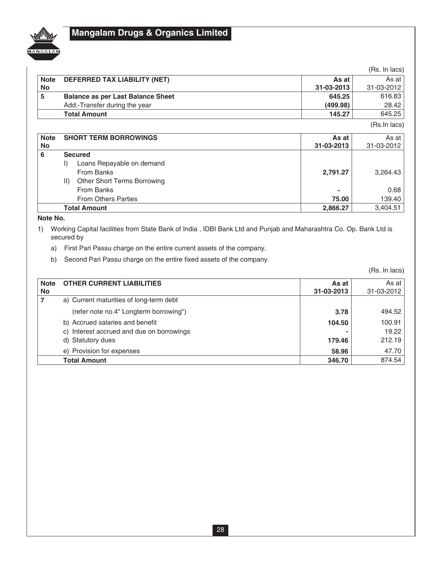

|             |                                            |            | (Rs. In lacs) |
|-------------|--------------------------------------------|------------|---------------|
| <b>Note</b> | DEFERRED TAX LIABILITY (NET)               | As at      | As at         |
| No          |                                            | 31-03-2013 | 31-03-2012    |
| 5           | <b>Balance as per Last Balance Sheet</b>   | 645.25     | 616.83        |
|             | Add:-Transfer during the year              | (499.98)   | 28.42         |
|             | <b>Total Amount</b>                        | 145.27     | 645.25        |
|             |                                            |            | (Rs.In lacs)  |
| <b>Note</b> | <b>SHORT TERM BORROWINGS</b>               | As at      | As at         |
| No          |                                            | 31-03-2013 | 31-03-2012    |
| 6           | <b>Secured</b>                             |            |               |
|             | Loans Repayable on demand<br>$\mathbf{D}$  |            |               |
|             | From Banks                                 | 2,791.27   | 3,264.43      |
|             | Other Short Terms Borrowing<br>$\parallel$ |            |               |
|             | From Banks                                 |            | 0.68          |
|             | <b>From Others Parties</b>                 | 75.00      | 139.40        |
|             | <b>Total Amount</b>                        | 2,866.27   | 3.404.51      |

**Note No.**

1) Working Capital facilities from State Bank of India , IDBI Bank Ltd and Punjab and Maharashtra Co. Op. Bank Ltd is secured by

**Total Amount 2,866.27 <b>3,204.51 3,204.51 3,304.51 3,304.51 3,304.51 3,304.51 3,304.51 3,304.51 3,304.51** 

- a) First Pari Passu charge on the entire current assets of the company.
- b) Second Pari Passu charge on the entire fixed assets of the company.

(Rs. In lacs)

| <b>Note</b><br>No | <b>OTHER CURRENT LIABILITIES</b>          | As at<br>31-03-2013 | As at<br>31-03-2012 |
|-------------------|-------------------------------------------|---------------------|---------------------|
|                   | a) Current maturities of long-term debt   |                     |                     |
|                   | (refer note no.4" Longterm borrowing")    | 3.78                | 494.52              |
|                   | b) Accrued salaries and benefit           | 104.50              | 100.91              |
|                   | c) Interest accrued and due on borrowings |                     | 19.22               |
|                   | d) Statutory dues                         | 179.46              | 212.19              |
|                   | e) Provision for expenses                 | 58.96               | 47.70               |
|                   | <b>Total Amount</b>                       | 346.70              | 874.54              |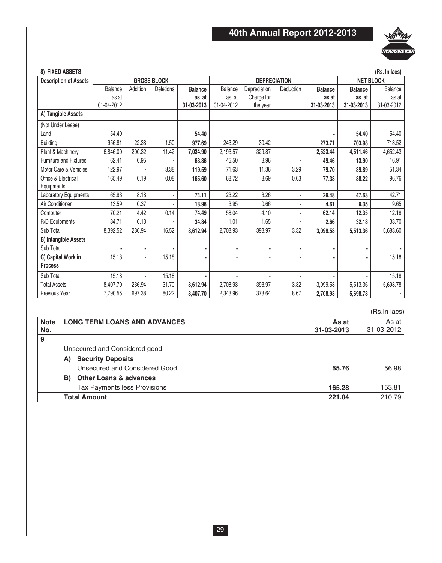

| 8) FIXED ASSETS               |                |          |                    |                |                |                     |           |                |                  | (RS. In Iacs)  |
|-------------------------------|----------------|----------|--------------------|----------------|----------------|---------------------|-----------|----------------|------------------|----------------|
| <b>Description of Assets</b>  |                |          | <b>GROSS BLOCK</b> |                |                | <b>DEPRECIATION</b> |           |                | <b>NET BLOCK</b> |                |
|                               | <b>Balance</b> | Addition | <b>Deletions</b>   | <b>Balance</b> | <b>Balance</b> | Depreciation        | Deduction | <b>Balance</b> | <b>Balance</b>   | <b>Balance</b> |
|                               | as at          |          |                    | as at          | as at          | Charge for          |           | as at          | as at            | as at          |
|                               | 01-04-2012     |          |                    | 31-03-2013     | 01-04-2012     | the year            |           | 31-03-2013     | 31-03-2013       | 31-03-2012     |
| A) Tangible Assets            |                |          |                    |                |                |                     |           |                |                  |                |
| (Not Under Lease)             |                |          |                    |                |                |                     |           |                |                  |                |
| Land                          | 54.40          |          |                    | 54.40          |                |                     |           |                | 54.40            | 54.40          |
| <b>Building</b>               | 956.81         | 22.38    | 1.50               | 977.69         | 243.29         | 30.42               |           | 273.71         | 703.98           | 713.52         |
| Plant & Machinery             | 6.846.00       | 200.32   | 11.42              | 7,034.90       | 2,193.57       | 329.87              | ٠         | 2,523.44       | 4,511.46         | 4,652.43       |
| <b>Furniture and Fixtures</b> | 62.41          | 0.95     |                    | 63.36          | 45.50          | 3.96                |           | 49.46          | 13.90            | 16.91          |
| Motor Care & Vehicles         | 122.97         |          | 3.38               | 119.59         | 71.63          | 11.36               | 3.29      | 79.70          | 39.89            | 51.34          |
| Office & Electrical           | 165.49         | 0.19     | 0.08               | 165.60         | 68.72          | 8.69                | 0.03      | 77.38          | 88.22            | 96.76          |
| Equipments                    |                |          |                    |                |                |                     |           |                |                  |                |
| Laboratory Equipments         | 65.93          | 8.18     |                    | 74.11          | 23.22          | 3.26                |           | 26.48          | 47.63            | 42.71          |
| Air Conditioner               | 13.59          | 0.37     |                    | 13.96          | 3.95           | 0.66                |           | 4.61           | 9.35             | 9.65           |
| Computer                      | 70.21          | 4.42     | 0.14               | 74.49          | 58.04          | 4.10                | ٠         | 62.14          | 12.35            | 12.18          |
| R/D Equipments                | 34.71          | 0.13     |                    | 34.84          | 1.01           | 1.65                |           | 2.66           | 32.18            | 33.70          |
| Sub Total                     | 8,392.52       | 236.94   | 16.52              | 8,612.94       | 2,708.93       | 393.97              | 3.32      | 3,099.58       | 5,513.36         | 5,683.60       |
| B) Intangible Assets          |                |          |                    |                |                |                     |           |                |                  |                |
| Sub Total                     |                | ٠        |                    | $\blacksquare$ | $\blacksquare$ | ٠                   | ٠         | ٠              |                  |                |
| C) Capital Work in            | 15.18          |          | 15.18              |                |                |                     |           |                |                  | 15.18          |
| <b>Process</b>                |                |          |                    |                |                |                     |           |                |                  |                |
| Sub Total                     | 15.18          |          | 15.18              |                |                |                     |           |                |                  | 15.18          |
| <b>Total Assets</b>           | 8.407.70       | 236.94   | 31.70              | 8,612.94       | 2,708.93       | 393.97              | 3.32      | 3,099.58       | 5,513.36         | 5,698.78       |
| Previous Year                 | 7,790.55       | 697.38   | 80.22              | 8,407.70       | 2,343.96       | 373.64              | 8.67      | 2,708.93       | 5,698.78         |                |

(Rs.In lacs)

| <b>Note</b><br>No. | <b>LONG TERM LOANS AND ADVANCES</b>     | As at<br>31-03-2013 | As at<br>31-03-2012 |
|--------------------|-----------------------------------------|---------------------|---------------------|
| 9                  |                                         |                     |                     |
|                    | Unsecured and Considered good           |                     |                     |
|                    | <b>Security Deposits</b><br>A)          |                     |                     |
|                    | Unsecured and Considered Good           | 55.76               | 56.98               |
|                    | <b>Other Loans &amp; advances</b><br>B) |                     |                     |
|                    | Tax Payments less Provisions            | 165.28              | 153.81              |
|                    | <b>Total Amount</b>                     | 221.04              | 210.79              |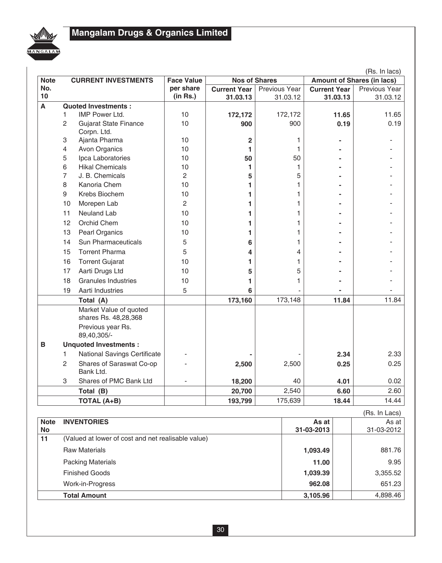

|                           |    |                                                |                     | (Rs. In lacs)        |                     |               |                                   |
|---------------------------|----|------------------------------------------------|---------------------|----------------------|---------------------|---------------|-----------------------------------|
| <b>Note</b>               |    | <b>CURRENT INVESTMENTS</b>                     | <b>Face Value</b>   | <b>Nos of Shares</b> |                     |               | <b>Amount of Shares (in lacs)</b> |
| No.                       |    | per share                                      | <b>Current Year</b> | Previous Year        | <b>Current Year</b> | Previous Year |                                   |
| 10                        |    |                                                | (in Rs.)            | 31.03.13             | 31.03.12            | 31.03.13      | 31.03.12                          |
| $\boldsymbol{\mathsf{A}}$ |    | <b>Quoted Investments:</b>                     |                     |                      |                     |               |                                   |
|                           | 1  | IMP Power Ltd.                                 | 10                  | 172,172              | 172,172             | 11.65         | 11.65                             |
|                           | 2  | <b>Gujarat State Finance</b><br>Corpn. Ltd.    | 10                  | 900                  | 900                 | 0.19          | 0.19                              |
|                           | 3  | Ajanta Pharma                                  | 10                  | 2                    | 1                   |               |                                   |
|                           | 4  | Avon Organics                                  | 10                  | 1                    | 1                   |               |                                   |
|                           | 5  | Ipca Laboratories                              | 10                  | 50                   | 50                  |               |                                   |
|                           | 6  | <b>Hikal Chemicals</b>                         | 10                  | 1                    | 1                   |               |                                   |
|                           | 7  | J. B. Chemicals                                | $\overline{c}$      | 5                    | 5                   |               |                                   |
|                           | 8  | Kanoria Chem                                   | 10                  | 1                    | 1                   |               |                                   |
|                           | 9  | Krebs Biochem                                  | 10                  | 1                    | 1                   |               |                                   |
|                           | 10 | Morepen Lab                                    | $\overline{c}$      | 1                    | 1                   |               |                                   |
|                           | 11 | <b>Neuland Lab</b>                             | 10                  | 1                    | 1                   |               |                                   |
|                           | 12 | Orchid Chem                                    | 10                  | 1                    | 1                   |               |                                   |
|                           | 13 | Pearl Organics                                 | 10                  | 1                    | 1                   |               |                                   |
|                           | 14 | Sun Pharmaceuticals                            | 5                   | 6                    | 1                   |               |                                   |
|                           | 15 | <b>Torrent Pharma</b>                          | 5                   | 4                    | 4                   |               |                                   |
|                           | 16 | <b>Torrent Gujarat</b>                         | 10                  | 1                    | 1                   |               |                                   |
|                           | 17 | Aarti Drugs Ltd                                | 10                  | 5                    | 5                   |               |                                   |
|                           | 18 | <b>Granules Industries</b>                     | 10                  | 1                    | 1                   |               |                                   |
|                           | 19 | Aarti Industries                               | 5                   | 6                    |                     |               |                                   |
|                           |    | Total (A)                                      |                     | 173,160              | 173,148             | 11.84         | 11.84                             |
|                           |    | Market Value of quoted<br>shares Rs. 48,28,368 |                     |                      |                     |               |                                   |
|                           |    | Previous year Rs.<br>89,40,305/-               |                     |                      |                     |               |                                   |
| в                         |    | <b>Unquoted Investments:</b>                   |                     |                      |                     |               |                                   |
|                           | 1  | National Savings Certificate                   |                     |                      |                     | 2.34          | 2.33                              |
|                           | 2  | Shares of Saraswat Co-op<br>Bank Ltd.          |                     | 2,500                | 2,500               | 0.25          | 0.25                              |
|                           | 3  | Shares of PMC Bank Ltd                         |                     | 18,200               | 40                  | 4.01          | 0.02                              |
|                           |    | Total (B)                                      |                     | 20,700               | 2,540               | 6.60          | 2.60                              |
|                           |    | TOTAL (A+B)                                    |                     | 193,799              | 175,639             | 18.44         | 14.44                             |

|             |                                                    |            | (Rs. In Lacs) |
|-------------|----------------------------------------------------|------------|---------------|
| <b>Note</b> | <b>INVENTORIES</b>                                 | As at      | As at         |
| No          |                                                    | 31-03-2013 | 31-03-2012    |
| 11          | (Valued at lower of cost and net realisable value) |            |               |
|             | <b>Raw Materials</b>                               | 1,093.49   | 881.76        |
|             | <b>Packing Materials</b>                           | 11.00      | 9.95          |
|             | <b>Finished Goods</b>                              | 1,039.39   | 3,355.52      |
|             | Work-in-Progress                                   | 962.08     | 651.23        |
|             | <b>Total Amount</b>                                | 3,105.96   | 4,898.46      |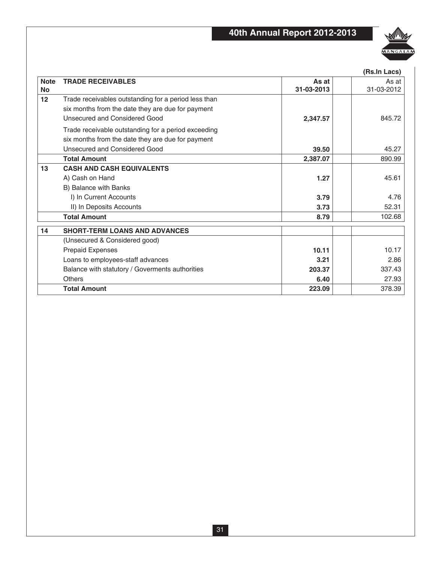# **40th Annual Report 2012-2013**



|             |                                                      |            | (Rs.In Lacs) |
|-------------|------------------------------------------------------|------------|--------------|
| <b>Note</b> | <b>TRADE RECEIVABLES</b>                             | As at      | As at        |
| <b>No</b>   |                                                      | 31-03-2013 | 31-03-2012   |
| 12          | Trade receivables outstanding for a period less than |            |              |
|             | six months from the date they are due for payment    |            |              |
|             | Unsecured and Considered Good                        | 2,347.57   | 845.72       |
|             | Trade receivable outstanding for a period exceeding  |            |              |
|             | six months from the date they are due for payment    |            |              |
|             | Unsecured and Considered Good                        | 39.50      | 45.27        |
|             | <b>Total Amount</b>                                  | 2,387.07   | 890.99       |
| 13          | <b>CASH AND CASH EQUIVALENTS</b>                     |            |              |
|             | A) Cash on Hand                                      | 1.27       | 45.61        |
|             | B) Balance with Banks                                |            |              |
|             | I) In Current Accounts                               | 3.79       | 4.76         |
|             | II) In Deposits Accounts                             | 3.73       | 52.31        |
|             | <b>Total Amount</b>                                  | 8.79       | 102.68       |
| 14          | <b>SHORT-TERM LOANS AND ADVANCES</b>                 |            |              |
|             | (Unsecured & Considered good)                        |            |              |
|             | <b>Prepaid Expenses</b>                              | 10.11      | 10.17        |
|             | Loans to employees-staff advances                    | 3.21       | 2.86         |
|             | Balance with statutory / Goverments authorities      | 203.37     | 337.43       |
|             | <b>Others</b>                                        | 6.40       | 27.93        |
|             | <b>Total Amount</b>                                  | 223.09     | 378.39       |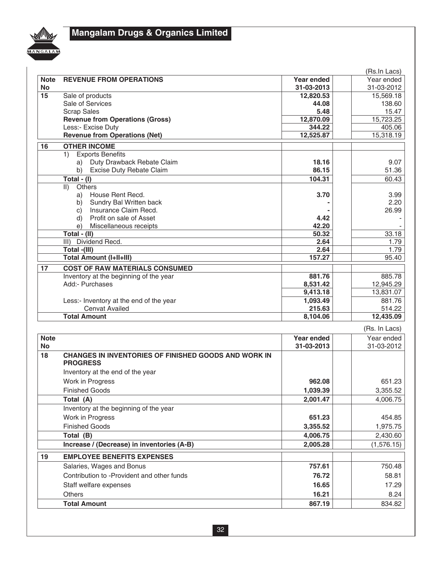

|                          |                                                                                |                                 | (Rs.In Lacs)    |
|--------------------------|--------------------------------------------------------------------------------|---------------------------------|-----------------|
| <b>Note</b><br><b>No</b> | <b>REVENUE FROM OPERATIONS</b>                                                 | <b>Year ended</b><br>31-03-2013 | Year ended      |
|                          |                                                                                |                                 | 31-03-2012      |
| 15                       | Sale of products<br>Sale of Services                                           | 12,820.53<br>44.08              | 15,569.18       |
|                          | <b>Scrap Sales</b>                                                             | 5.48                            | 138.60<br>15.47 |
|                          | <b>Revenue from Operations (Gross)</b>                                         | 12,870.09                       | 15,723.25       |
|                          | Less:- Excise Duty                                                             | 344.22                          | 405.06          |
|                          | <b>Revenue from Operations (Net)</b>                                           | 12,525.87                       | 15,318.19       |
|                          |                                                                                |                                 |                 |
| 16                       | <b>OTHER INCOME</b><br><b>Exports Benefits</b><br>1)                           |                                 |                 |
|                          | Duty Drawback Rebate Claim<br>a) -                                             | 18.16                           | 9.07            |
|                          | b) Excise Duty Rebate Claim                                                    | 86.15                           | 51.36           |
|                          | Total - (I)                                                                    | 104.31                          | 60.43           |
|                          | Others<br>$\parallel$                                                          |                                 |                 |
|                          | House Rent Recd.<br>a)                                                         | 3.70                            | 3.99            |
|                          | Sundry Bal Written back<br>b)                                                  |                                 | 2.20            |
|                          | Insurance Claim Recd.<br>C)                                                    |                                 | 26.99           |
|                          | Profit on sale of Asset<br>d)                                                  | 4.42                            |                 |
|                          | Miscellaneous receipts<br>e)                                                   | 42.20                           |                 |
|                          | Total - (II)                                                                   | 50.32                           | 33.18           |
|                          | III) Dividend Recd.                                                            | 2.64                            | 1.79            |
|                          | Total -(III)                                                                   | 2.64                            | 1.79            |
|                          | <b>Total Amount (I+II+III)</b>                                                 | 157.27                          | 95.40           |
| 17                       | <b>COST OF RAW MATERIALS CONSUMED</b>                                          |                                 |                 |
|                          | Inventory at the beginning of the year                                         | 881.76                          | 885.78          |
|                          | Add:- Purchases                                                                | 8,531.42                        | 12,945.29       |
|                          |                                                                                | 9,413.18                        | 13,831.07       |
|                          | Less:- Inventory at the end of the year                                        | 1,093.49                        | 881.76          |
|                          | <b>Cenvat Availed</b>                                                          | 215.63                          | 514.22          |
|                          | <b>Total Amount</b>                                                            | 8,104.06                        | 12,435.09       |
|                          |                                                                                |                                 | (Rs. In Lacs)   |
| <b>Note</b>              |                                                                                | <b>Year ended</b>               | Year ended      |
| <b>No</b>                |                                                                                | 31-03-2013                      | 31-03-2012      |
| 18                       | <b>CHANGES IN INVENTORIES OF FINISHED GOODS AND WORK IN</b><br><b>PROGRESS</b> |                                 |                 |
|                          | Inventory at the end of the year                                               |                                 |                 |
|                          | Work in Progress                                                               | 962.08                          | 651.23          |
|                          | <b>Finished Goods</b>                                                          | 1,039.39                        | 3,355.52        |
|                          | Total (A)                                                                      | 2,001.47                        | 4,006.75        |
|                          | Inventory at the beginning of the year                                         |                                 |                 |
|                          | Work in Progress                                                               | 651.23                          | 454.85          |
|                          | <b>Finished Goods</b>                                                          | 3,355.52                        | 1,975.75        |
|                          | Total (B)                                                                      | 4,006.75                        | 2,430.60        |
|                          | Increase / (Decrease) in inventories (A-B)                                     | 2,005.28                        | (1,576.15)      |
|                          |                                                                                |                                 |                 |
| 19                       | <b>EMPLOYEE BENEFITS EXPENSES</b>                                              |                                 |                 |
|                          | Salaries, Wages and Bonus                                                      | 757.61                          | 750.48          |
|                          | Contribution to -Provident and other funds                                     | 76.72                           | 58.81           |
|                          | Staff welfare expenses                                                         | 16.65                           | 17.29           |
|                          | Others                                                                         | 16.21                           | 8.24            |
|                          | <b>Total Amount</b>                                                            | 867.19                          | 834.82          |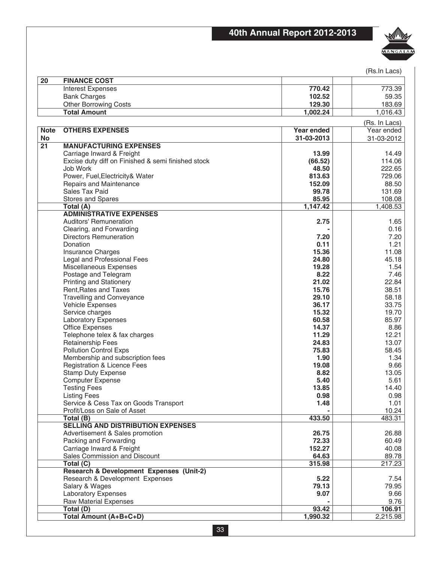

| 20              | <b>FINANCE COST</b>                                                       |                   |                 |
|-----------------|---------------------------------------------------------------------------|-------------------|-----------------|
|                 | <b>Interest Expenses</b>                                                  | 770.42            | 773.39          |
|                 | <b>Bank Charges</b>                                                       | 102.52            | 59.35           |
|                 | <b>Other Borrowing Costs</b>                                              | 129.30            | 183.69          |
|                 | <b>Total Amount</b>                                                       | 1,002.24          | 1,016.43        |
|                 |                                                                           |                   | (Rs. In Lacs)   |
| <b>Note</b>     | <b>OTHERS EXPENSES</b>                                                    | <b>Year ended</b> | Year ended      |
| <b>No</b>       |                                                                           | 31-03-2013        | 31-03-2012      |
| $\overline{21}$ | <b>MANUFACTURING EXPENSES</b>                                             |                   |                 |
|                 | Carriage Inward & Freight                                                 | 13.99             | 14.49           |
|                 | Excise duty diff on Finished & semi finished stock                        | (66.52)           | 114.06          |
|                 | Job Work                                                                  | 48.50             | 222.65          |
|                 | Power, Fuel, Electricity& Water<br>Repairs and Maintenance                | 813.63<br>152.09  | 729.06<br>88.50 |
|                 | Sales Tax Paid                                                            | 99.78             | 131.69          |
|                 | <b>Stores and Spares</b>                                                  | 85.95             | 108.08          |
|                 | Total (A)                                                                 | 1,147.42          | 1,408.53        |
|                 | <b>ADMINISTRATIVE EXPENSES</b>                                            |                   |                 |
|                 | Auditors' Remuneration                                                    | 2.75              | 1.65            |
|                 | Clearing, and Forwarding                                                  |                   | 0.16            |
|                 | <b>Directors Remuneration</b>                                             | 7.20              | 7.20            |
|                 | Donation                                                                  | 0.11              | 1.21            |
|                 | Insurance Charges                                                         | 15.36             | 11.08           |
|                 | Legal and Professional Fees                                               | 24.80             | 45.18           |
|                 | Miscellaneous Expenses                                                    | 19.28             | 1.54            |
|                 | Postage and Telegram                                                      | 8.22              | 7.46            |
|                 | <b>Printing and Stationery</b>                                            | 21.02             | 22.84           |
|                 | Rent, Rates and Taxes                                                     | 15.76             | 38.51           |
|                 | <b>Travelling and Conveyance</b>                                          | 29.10<br>36.17    | 58.18           |
|                 | <b>Vehicle Expenses</b><br>Service charges                                | 15.32             | 33.75<br>19.70  |
|                 | <b>Laboratory Expenses</b>                                                | 60.58             | 85.97           |
|                 | <b>Office Expenses</b>                                                    | 14.37             | 8.86            |
|                 | Telephone telex & fax charges                                             | 11.29             | 12.21           |
|                 | <b>Retainership Fees</b>                                                  | 24.83             | 13.07           |
|                 | <b>Pollution Control Exps</b>                                             | 75.83             | 58.45           |
|                 | Membership and subscription fees                                          | 1.90              | 1.34            |
|                 | Registration & Licence Fees                                               | 19.08             | 9.66            |
|                 | <b>Stamp Duty Expense</b>                                                 | 8.82              | 13.05           |
|                 | <b>Computer Expense</b>                                                   | 5.40              | 5.61            |
|                 | <b>Testing Fees</b>                                                       | 13.85             | 14.40           |
|                 | <b>Listing Fees</b>                                                       | 0.98              | 0.98            |
|                 | Service & Cess Tax on Goods Transport                                     | 1.48              | 1.01            |
|                 | Profit/Loss on Sale of Asset                                              |                   | 10.24           |
|                 | $\overline{\text{Total}}$ (B)<br><b>SELLING AND DISTRIBUTION EXPENSES</b> | 433.50            | 483.31          |
|                 | Advertisement & Sales promotion                                           | 26.75             | 26.88           |
|                 | Packing and Forwarding                                                    | 72.33             | 60.49           |
|                 | Carriage Inward & Freight                                                 | 152.27            | 40.08           |
|                 | Sales Commission and Discount                                             | 64.63             | 89.78           |
|                 | Total (C)                                                                 | 315.98            | 217.23          |
|                 | <b>Research &amp; Development Expenses (Unit-2)</b>                       |                   |                 |
|                 | Research & Development Expenses                                           | 5.22              | 7.54            |
|                 | Salary & Wages                                                            | 79.13             | 79.95           |
|                 | <b>Laboratory Expenses</b>                                                | 9.07              | 9.66            |
|                 | <b>Raw Material Expenses</b>                                              |                   | 9.76            |
|                 | Total (D)                                                                 | 93.42             | 106.91          |
|                 | <b>Total Amount (A+B+C+D)</b>                                             | 1,990.32          | 2,215.98        |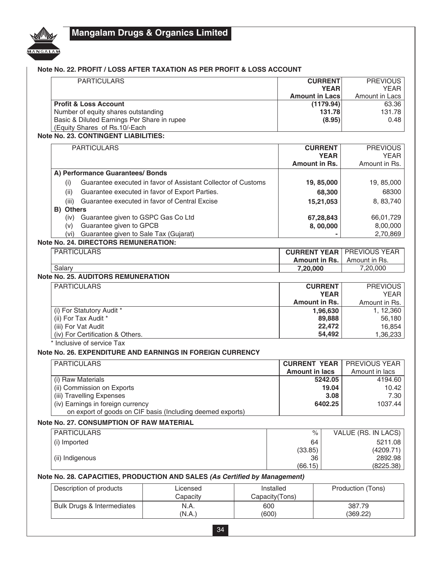

#### **Note No. 22. PROFIT / LOSS AFTER TAXATION AS PER PROFIT & LOSS ACCOUNT**

| <b>PARTICULARS</b>                          | <b>CURRENT</b>        | <b>PREVIOUS</b> |
|---------------------------------------------|-----------------------|-----------------|
|                                             | <b>YEAR</b>           | YEAR            |
|                                             | <b>Amount in Lacs</b> | Amount in Lacs  |
| <b>Profit &amp; Loss Account</b>            | (1179.94)             | 63.36           |
| Number of equity shares outstanding         | 131.78                | 131.78          |
| Basic & Diluted Earnings Per Share in rupee | (8.95)                | 0.48            |
| (Equity Shares of Rs.10/-Each               |                       |                 |

#### **Note No. 23. CONTINGENT LIABILITIES:**

|    | <b>PARTICULARS</b>                                                   | <b>CURRENT</b><br><b>YEAR</b><br>Amount in Rs. | <b>PREVIOUS</b><br><b>YEAR</b><br>Amount in Rs. |
|----|----------------------------------------------------------------------|------------------------------------------------|-------------------------------------------------|
|    | A) Performance Guarantees/ Bonds                                     |                                                |                                                 |
|    | Guarantee executed in favor of Assistant Collector of Customs<br>(i) | 19, 85,000                                     | 19, 85,000                                      |
|    | Guarantee executed in favor of Export Parties.<br>(ii)               | 68,300                                         | 68300                                           |
|    | Guarantee executed in favor of Central Excise<br>(iii)               | 15,21,053                                      | 8, 83, 740                                      |
| B) | <b>Others</b>                                                        |                                                |                                                 |
|    | Guarantee given to GSPC Gas Co Ltd<br>(iv)                           | 67,28,843                                      | 66,01,729                                       |
|    | Guarantee given to GPCB<br>(v)                                       | 8,00,000                                       | 8,00,000                                        |
|    | Guarantee given to Sale Tax (Gujarat)<br>(vi)                        |                                                | 2,70,869                                        |

#### **Note No. 24. DIRECTORS REMUNERATION:**

| <b>PARTICULARS</b> | <b>CURRENT YEAR</b> | <b>PREVIOUS YEAR</b> |
|--------------------|---------------------|----------------------|
|                    | Amount in Rs.       | Amount in Rs.        |
| Salary             | 7.20.000            | 20,000               |

#### **Note No. 25. AUDITORS REMUNERATION**

| <b>PARTICULARS</b>               | <b>CURRENT</b>       | <b>PREVIOUS</b> |
|----------------------------------|----------------------|-----------------|
|                                  | <b>YEAR</b>          | YEAR            |
|                                  | <b>Amount in Rs.</b> | Amount in Rs.   |
| (i) For Statutory Audit *        | 1,96,630             | 1, 12,360       |
| (ii) For Tax Audit *             | 89,888               | 56,180          |
| (iii) For Vat Audit              | 22.472               | 16.854          |
| (iv) For Certification & Others. | 54.492               | 1,36,233        |

\* Inclusive of service Tax

#### **Note No. 26. EXPENDITURE AND EARNINGS IN FOREIGN CURRENCY**

| <b>PARTICULARS</b>                                         |                       | <b>CURRENT YEAR   PREVIOUS YEAR</b> |
|------------------------------------------------------------|-----------------------|-------------------------------------|
|                                                            | <b>Amount in lacs</b> | Amount in lacs                      |
| (i) Raw Materials                                          | 5242.05               | 4194.60                             |
| (ii) Commission on Exports                                 | 19.04                 | 10.42                               |
| (iii) Travelling Expenses                                  | 3.08                  | 7.30                                |
| (iv) Earnings in foreign currency                          | 6402.25               | 1037.44                             |
| on export of goods on CIF basis (Including deemed exports) |                       |                                     |

#### **Note No. 27. CONSUMPTION OF RAW MATERIAL**

| <b>PARTICULARS</b> | $\%$    | VALUE (RS. IN LACS) |
|--------------------|---------|---------------------|
| (i) Imported       | 64      | 5211.08             |
|                    | (33.85) | (4209.71)           |
| (ii) Indigenous    | 36      | 2892.98             |
|                    | (66.15) | (8225.38)           |

#### **Note No. 28. CAPACITIES, PRODUCTION AND SALES (As Certified by Management)**

| Description of products               | Licensed | Installed       | Production (Tons) |
|---------------------------------------|----------|-----------------|-------------------|
|                                       | Capacitv | Capacity (Tons) |                   |
| <b>Bulk Drugs &amp; Intermediates</b> | N.A.     | 600             | 387.79            |
|                                       | (N.A.)   | (600)           | (369.22)          |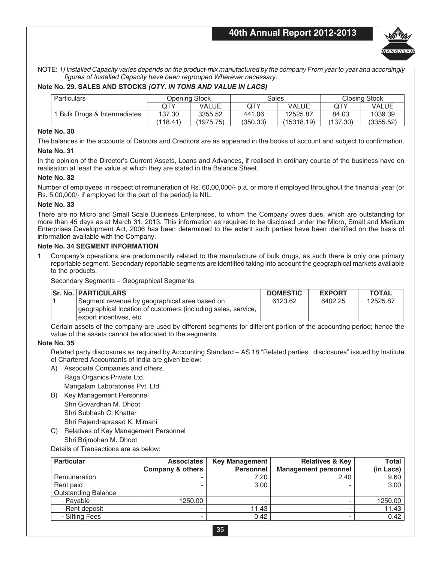

NOTE: 1) Installed Capacity varies depends on the product-mix manufactured by the company From year to year and accordingly figures of Installed Capacity have been regrouped Wherever necessary.

#### **Note No. 29. SALES AND STOCKS (QTY. IN TONS AND VALUE IN LACS)**

| Particulars                   | Opening Stock       |           | Sales    |            | Closing Stock |              |
|-------------------------------|---------------------|-----------|----------|------------|---------------|--------------|
|                               | OTY                 | VALUE     | QTY      | VALUE      | OTY           | <b>VALUE</b> |
| 1. Bulk Drugs & Intermediates | 137.30              | 3355.52   | 441.06   | 12525.87   | 84.03         | 1039.39      |
|                               | $^{\prime}$ 118.41. | (1975.75) | (350.33) | (15318.19) | (137.30)      | (3355.52)    |

#### **Note No. 30**

The balances in the accounts of Debtors and Creditors are as appeared in the books of account and subject to confirmation.

#### **Note No. 31**

In the opinion of the Director's Current Assets, Loans and Advances, if realised in ordinary course of the business have on realisation at least the value at which they are stated in the Balance Sheet.

#### **Note No. 32**

Number of employees in respect of remuneration of Rs. 60,00,000/- p.a. or more if employed throughout the financial year (or Rs. 5,00,000/- if employed for the part of the period) is NIL.

#### **Note No. 33**

There are no Micro and Small Scale Business Enterprises, to whom the Company owes dues, which are outstanding for more than 45 days as at March 31, 2013. This information as required to be disclosed under the Micro, Small and Medium Enterprises Development Act, 2006 has been determined to the extent such parties have been identified on the basis of information available with the Company.

#### **Note No. 34 SEGMENT INFORMATION**

1. Company's operations are predominantly related to the manufacture of bulk drugs, as such there is only one primary reportable segment. Secondary reportable segments are identified taking into account the geographical markets available to the products.

Secondary Segments – Geographical Segments

| <b>Sr. No. PARTICULARS</b>                                    | <b>DOMESTIC</b> | <b>EXPORT</b> | <b>TOTAL</b> |
|---------------------------------------------------------------|-----------------|---------------|--------------|
| Segment revenue by geographical area based on                 | 6123.62         | 6402.25       | 12525.87     |
| geographical location of customers (including sales, service, |                 |               |              |
| export incentives, etc.                                       |                 |               |              |

Certain assets of the company are used by different segments for different portion of the accounting period; hence the value of the assets cannot be allocated to the segments.

#### **Note No. 35**

Related party disclosures as required by Accounting Standard – AS 18 "Related parties disclosures" issued by Institute of Chartered Accountants of India are given below:

A) Associate Companies and others. Raga Organics Private Ltd.

Mangalam Laboratories Pvt. Ltd.

- B) Key Management Personnel Shri Govardhan M. Dhoot Shri Subhash C. Khattar Shri Rajendraprasad K. Mimani
- C) Relatives of Key Management Personnel Shri Brijmohan M. Dhoot

Details of Transactions are as below:

| <b>Particular</b>          | <b>Associates</b> | <b>Key Management</b> | <b>Relatives &amp; Key</b>  | <b>Total</b> |
|----------------------------|-------------------|-----------------------|-----------------------------|--------------|
|                            | Company & others  | Personnel             | <b>Management personnel</b> | (in Lacs)    |
| Remuneration               |                   | 7.20                  | 2.40                        | 9.60         |
| Rent paid                  |                   | 3.00                  |                             | 3.00         |
| <b>Outstanding Balance</b> |                   |                       |                             |              |
| - Pavable                  | 1250.00           |                       |                             | 1250.00      |
| - Rent deposit             |                   | 11.43                 |                             | 11.43        |
| - Sitting Fees             | -                 | 0.42                  | $\overline{\phantom{a}}$    | 0.42         |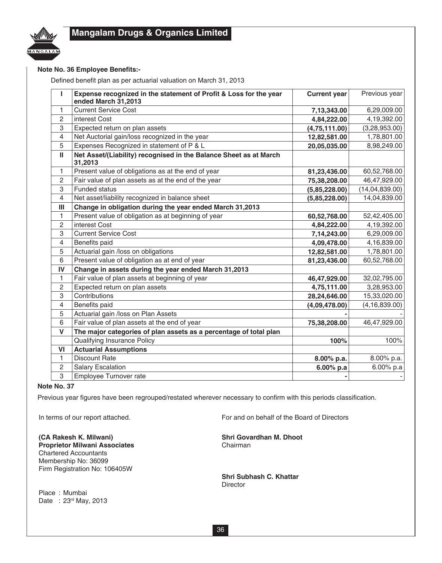

#### **Note No. 36 Employee Benefits:-**

Defined benefit plan as per actuarial valuation on March 31, 2013

| L              | Expense recognized in the statement of Profit & Loss for the year<br>ended March 31,2013 | <b>Current year</b> | Previous year    |  |
|----------------|------------------------------------------------------------------------------------------|---------------------|------------------|--|
| 1              | <b>Current Service Cost</b>                                                              | 7,13,343.00         | 6,29,009.00      |  |
| $\overline{c}$ | interest Cost                                                                            | 4,84,222.00         | 4,19,392.00      |  |
| 3              | Expected return on plan assets                                                           | (4,75,111.00)       | (3, 28, 953.00)  |  |
| 4              | Net Auctorial gain/loss recognized in the year                                           | 12,82,581.00        | 1,78,801.00      |  |
| 5              | Expenses Recognized in statement of P & L                                                | 20,05,035.00        | 8,98,249.00      |  |
| $\mathbf{I}$   | Net Asset/(Liability) recognised in the Balance Sheet as at March<br>31,2013             |                     |                  |  |
| 1              | Present value of obligations as at the end of year                                       | 81,23,436.00        | 60,52,768.00     |  |
| 2              | Fair value of plan assets as at the end of the year                                      | 75,38,208.00        | 46,47,929.00     |  |
| 3              | <b>Funded status</b>                                                                     | (5,85,228.00)       | (14, 04, 839.00) |  |
| $\overline{4}$ | Net asset/liability recognized in balance sheet                                          | (5,85,228.00)       | 14,04,839.00     |  |
| Ш              | Change in obligation during the year ended March 31,2013                                 |                     |                  |  |
| $\mathbf{1}$   | Present value of obligation as at beginning of year                                      | 60,52,768.00        | 52,42,405.00     |  |
| $\overline{c}$ | interest Cost                                                                            | 4,84,222.00         | 4,19,392.00      |  |
| 3              | <b>Current Service Cost</b>                                                              | 7,14,243.00         | 6,29,009.00      |  |
| $\overline{4}$ | Benefits paid                                                                            | 4,09,478.00         | 4,16,839.00      |  |
| 5              | Actuarial gain /loss on obligations                                                      | 12,82,581.00        | 1,78,801.00      |  |
| 6              | Present value of obligation as at end of year                                            | 81,23,436.00        | 60,52,768.00     |  |
| IV             | Change in assets during the year ended March 31,2013                                     |                     |                  |  |
| $\mathbf{1}$   | Fair value of plan assets at beginning of year                                           | 46,47,929.00        | 32,02,795.00     |  |
| $\overline{c}$ | Expected return on plan assets                                                           | 4,75,111.00         | 3,28,953.00      |  |
| $\overline{3}$ | Contributions                                                                            | 28,24,646.00        | 15,33,020.00     |  |
| $\overline{4}$ | Benefits paid                                                                            | (4.09, 478.00)      | (4, 16, 839.00)  |  |
| 5              | Actuarial gain /loss on Plan Assets                                                      |                     |                  |  |
| 6              | Fair value of plan assets at the end of year                                             | 75,38,208.00        | 46,47,929.00     |  |
| V              | The major categories of plan assets as a percentage of total plan                        |                     |                  |  |
|                | Qualifying Insurance Policy                                                              | 100%                | 100%             |  |
| VI             | <b>Actuarial Assumptions</b>                                                             |                     |                  |  |
| $\mathbf{1}$   | <b>Discount Rate</b>                                                                     | 8.00% p.a.          | 8.00% p.a.       |  |
| 2              | <b>Salary Escalation</b>                                                                 | 6.00% p.a           | 6.00% p.a        |  |
| 3              | Employee Turnover rate                                                                   |                     |                  |  |

#### **Note No. 37**

Previous year figures have been regrouped/restated wherever necessary to confirm with this periods classification.

**(CA Rakesh K. Milwani) Shri Govardhan M. Dhoot Proprietor Milwani Associates** Chartered Accountants Membership No: 36099 Firm Registration No: 106405W

Place : Mumbai Date : 23rd May, 2013

In terms of our report attached. For and on behalf of the Board of Directors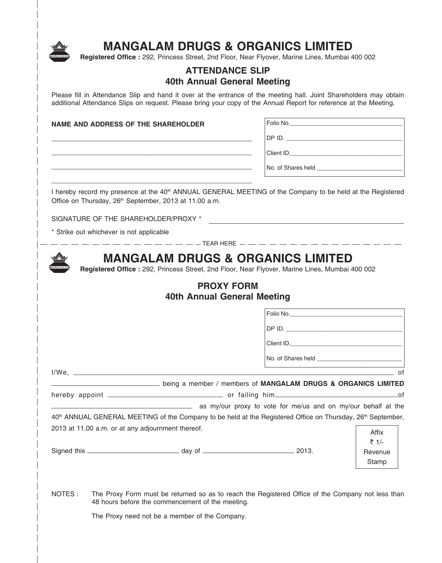

**MANGALAM DRUGS & ORGANICS LIMITED**

**Registered Office :** 292, Princess Street, 2nd Floor, Near Flyover, Marine Lines, Mumbai 400 002

### **ATTENDANCE SLIP 40th Annual General Meeting**

Please fill in Attendance Slip and hand it over at the entrance of the meeting hall. Joint Shareholders may obtain additional Attendance Slips on request. Please bring your copy of the Annual Report for reference at the Meeting.

#### **NAME AND ADDRESS OF THE SHAREHOLDER**

\_\_\_\_\_\_\_\_\_\_\_\_\_\_\_\_\_\_\_\_\_\_\_\_\_\_\_\_\_\_\_\_\_\_\_\_\_\_\_\_\_\_\_\_\_\_\_\_\_\_\_\_\_\_\_ \_\_\_\_\_\_\_\_\_\_\_\_\_\_\_\_\_\_\_\_\_\_\_\_\_\_\_\_\_\_\_\_\_\_\_\_\_\_\_\_\_\_\_\_\_\_\_\_\_\_\_\_\_\_ \_\_\_\_\_\_\_\_\_\_\_\_\_\_\_\_\_\_\_\_\_\_\_\_\_\_\_\_\_\_\_\_\_\_\_\_\_\_\_\_\_\_\_\_\_\_\_\_\_\_\_\_\_\_\_ \_\_\_\_\_\_\_\_\_\_\_\_\_\_\_\_\_\_\_\_\_\_\_\_\_\_\_\_\_\_\_\_\_\_\_\_\_\_\_\_\_\_\_\_\_\_\_\_\_\_\_\_\_\_\_

| Folio No.          |  |
|--------------------|--|
| I DP ID.           |  |
| Client ID.         |  |
| No. of Shares held |  |

I hereby record my presence at the 40<sup>th</sup> ANNUAL GENERAL MEETING of the Company to be held at the Registered Office on Thursday, 26<sup>th</sup> September, 2013 at 11.00 a.m.

SIGNATURE OF THE SHAREHOLDER/PROXY \*

\* Strike out whichever is not applicable

 $---$  - TEAR HERE  $-- -- -- ---$ 

# **MANGALAM DRUGS & ORGANICS LIMITED**

**Registered Office :** 292, Princess Street, 2nd Floor, Near Flyover, Marine Lines, Mumbai 400 002

### **PROXY FORM 40th Annual General Meeting**

|                                                                                                                                     | Client ID. |       |
|-------------------------------------------------------------------------------------------------------------------------------------|------------|-------|
|                                                                                                                                     |            |       |
|                                                                                                                                     |            |       |
| being a member / members of MANGALAM DRUGS & ORGANICS LIMITED                                                                       |            |       |
|                                                                                                                                     |            |       |
| as my/our proxy to vote for me/us and on my/our behalf at the                                                                       |            |       |
| 40 <sup>th</sup> ANNUAL GENERAL MEETING of the Company to be held at the Registered Office on Thursday, 26 <sup>th</sup> September, |            |       |
| 2013 at 11.00 a.m. or at any adjournment thereof.                                                                                   |            | Affix |
|                                                                                                                                     |            | ₹ 1/- |

NOTES : The Proxy Form must be returned so as to reach the Registered Office of the Company not less than 48 hours before the commencement of the meeting.

The Proxy need not be a member of the Company.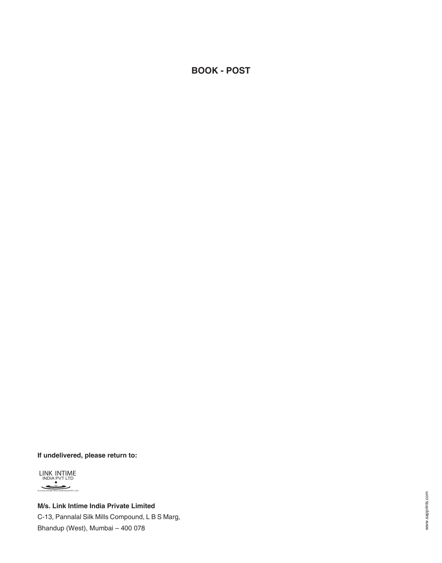### **BOOK - POST**

**If undelivered, please return to:**

INDIA PVT LTD **LINK INTIME** (Formerly INTIME SPECTRUM REGISTRY LTD)

**M/s. Link Intime India Private Limited** C-13, Pannalal Silk Mills Compound, L B S Marg, Bhandup (West), Mumbai – 400 078